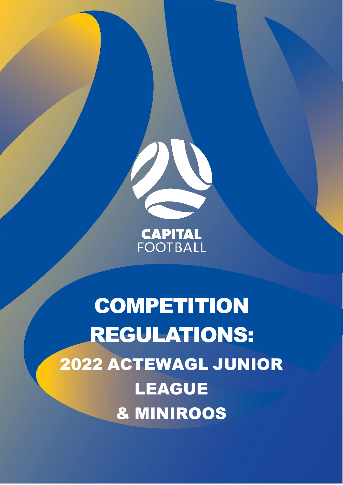

# **CAPITAL**<br>FOOTBALL

**COMPETITION** REGULATIONS: 2022 ACTEWAGL JUNIOR LEAGUE & MINIROOS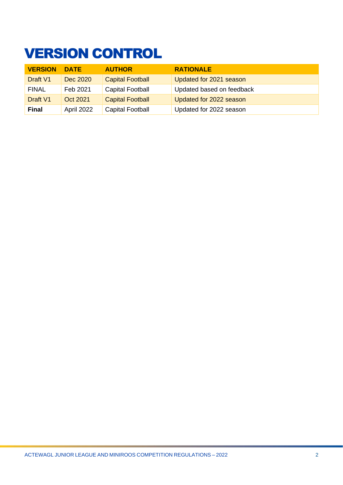# <span id="page-1-0"></span>VERSION CONTROL

| <b>VERSION</b> | <b>DATE</b> | <b>AUTHOR</b>           | <b>RATIONALE</b>          |
|----------------|-------------|-------------------------|---------------------------|
| Draft V1       | Dec 2020    | <b>Capital Football</b> | Updated for 2021 season   |
| <b>FINAL</b>   | Feb 2021    | <b>Capital Football</b> | Updated based on feedback |
| Draft V1       | Oct 2021    | <b>Capital Football</b> | Updated for 2022 season   |
| <b>Final</b>   | April 2022  | <b>Capital Football</b> | Updated for 2022 season   |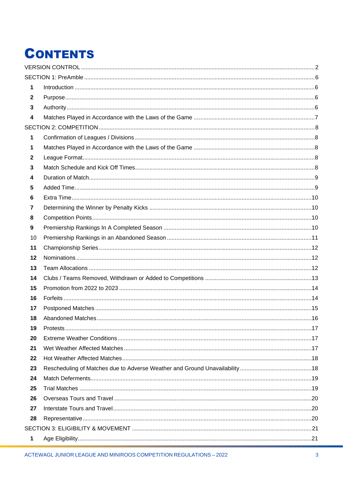# **CONTENTS**

| 1            |  |
|--------------|--|
| $\mathbf{2}$ |  |
| 3            |  |
| 4            |  |
|              |  |
| 1            |  |
| 1            |  |
| $\mathbf{2}$ |  |
| 3            |  |
| 4            |  |
| 5            |  |
| 6            |  |
| 7            |  |
| 8            |  |
| 9            |  |
| 10           |  |
| 11           |  |
| 12           |  |
| 13           |  |
| 14           |  |
| 15           |  |
| 16           |  |
| 17           |  |
| 18           |  |
| 19           |  |
| 20           |  |
| 21           |  |
| 22           |  |
| 23           |  |
| 24           |  |
| 25           |  |
| 26           |  |
| 27           |  |
| 28           |  |
|              |  |
| 1            |  |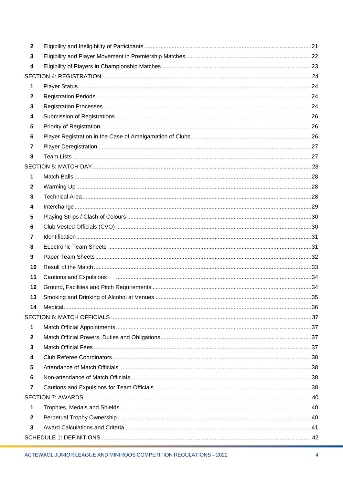| $\mathbf{2}$ |                                                                                                                                                                                                                               |  |
|--------------|-------------------------------------------------------------------------------------------------------------------------------------------------------------------------------------------------------------------------------|--|
| 3            |                                                                                                                                                                                                                               |  |
| 4            |                                                                                                                                                                                                                               |  |
|              |                                                                                                                                                                                                                               |  |
| 1            |                                                                                                                                                                                                                               |  |
| $\mathbf{2}$ |                                                                                                                                                                                                                               |  |
| 3            |                                                                                                                                                                                                                               |  |
| 4            |                                                                                                                                                                                                                               |  |
| 5            |                                                                                                                                                                                                                               |  |
| 6            |                                                                                                                                                                                                                               |  |
| 7            |                                                                                                                                                                                                                               |  |
| 8            |                                                                                                                                                                                                                               |  |
|              |                                                                                                                                                                                                                               |  |
| 1            |                                                                                                                                                                                                                               |  |
| $\mathbf{2}$ |                                                                                                                                                                                                                               |  |
| 3            |                                                                                                                                                                                                                               |  |
| 4            |                                                                                                                                                                                                                               |  |
| 5            |                                                                                                                                                                                                                               |  |
| 6            |                                                                                                                                                                                                                               |  |
| 7            |                                                                                                                                                                                                                               |  |
| 8            |                                                                                                                                                                                                                               |  |
| 9            |                                                                                                                                                                                                                               |  |
| 10           |                                                                                                                                                                                                                               |  |
| 11           | Cautions and Expulsions (and according to the control of the control of the control of the control of the control of the control of the control of the control of the control of the control of the control of the control of |  |
| 12           |                                                                                                                                                                                                                               |  |
| 13           |                                                                                                                                                                                                                               |  |
| 14           |                                                                                                                                                                                                                               |  |
|              |                                                                                                                                                                                                                               |  |
| 1            |                                                                                                                                                                                                                               |  |
| $\mathbf 2$  |                                                                                                                                                                                                                               |  |
| 3            |                                                                                                                                                                                                                               |  |
| 4            |                                                                                                                                                                                                                               |  |
| 5            |                                                                                                                                                                                                                               |  |
| 6            |                                                                                                                                                                                                                               |  |
| 7            |                                                                                                                                                                                                                               |  |
|              |                                                                                                                                                                                                                               |  |
| 1            |                                                                                                                                                                                                                               |  |
| $\mathbf{2}$ |                                                                                                                                                                                                                               |  |
| 3            |                                                                                                                                                                                                                               |  |
|              |                                                                                                                                                                                                                               |  |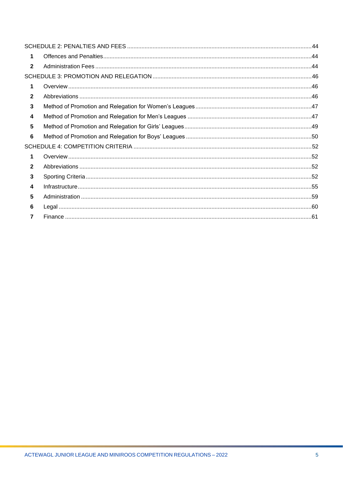| $\mathbf 1$<br>$\overline{2}$<br>1<br>$\mathbf{2}$<br>3<br>$\overline{\mathbf{4}}$<br>5<br>6<br>$\blacktriangleleft$<br>$\overline{2}$<br>3<br>$\overline{\mathbf{4}}$<br>5<br>6<br>$\overline{7}$ |  |  |
|----------------------------------------------------------------------------------------------------------------------------------------------------------------------------------------------------|--|--|
|                                                                                                                                                                                                    |  |  |
|                                                                                                                                                                                                    |  |  |
|                                                                                                                                                                                                    |  |  |
|                                                                                                                                                                                                    |  |  |
|                                                                                                                                                                                                    |  |  |
|                                                                                                                                                                                                    |  |  |
|                                                                                                                                                                                                    |  |  |
|                                                                                                                                                                                                    |  |  |
|                                                                                                                                                                                                    |  |  |
|                                                                                                                                                                                                    |  |  |
|                                                                                                                                                                                                    |  |  |
|                                                                                                                                                                                                    |  |  |
|                                                                                                                                                                                                    |  |  |
|                                                                                                                                                                                                    |  |  |
|                                                                                                                                                                                                    |  |  |
|                                                                                                                                                                                                    |  |  |
|                                                                                                                                                                                                    |  |  |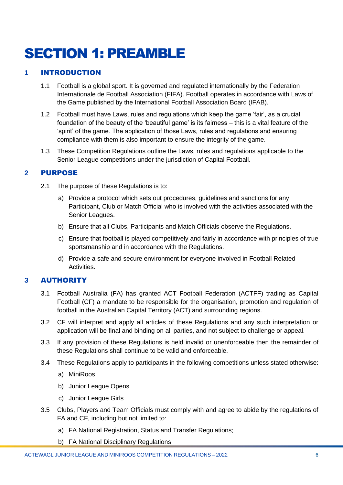# <span id="page-5-0"></span>SECTION 1: PREAMBLE

# <span id="page-5-1"></span>**1** INTRODUCTION

- 1.1 Football is a global sport. It is governed and regulated internationally by the Federation Internationale de Football Association (FIFA). Football operates in accordance with [Laws of](https://downloads.theifab.com/downloads/laws-of-the-game-2021-22?l=en)  [the Game](https://downloads.theifab.com/downloads/laws-of-the-game-2021-22?l=en) published by the International Football Association Board (IFAB).
- 1.2 Football must have Laws, rules and regulations which keep the game 'fair', as a crucial foundation of the beauty of the 'beautiful game' is its fairness – this is a vital feature of the 'spirit' of the game. The application of those Laws, rules and regulations and ensuring compliance with them is also important to ensure the integrity of the game.
- 1.3 These Competition Regulations outline the Laws, rules and regulations applicable to the Senior League competitions under the jurisdiction of Capital Football.

# <span id="page-5-2"></span>**2** PURPOSE

- 2.1 The purpose of these Regulations is to:
	- a) Provide a protocol which sets out procedures, guidelines and sanctions for any Participant, Club or Match Official who is involved with the activities associated with the Senior Leagues.
	- b) Ensure that all Clubs, Participants and Match Officials observe the Regulations.
	- c) Ensure that football is played competitively and fairly in accordance with principles of true sportsmanship and in accordance with the Regulations.
	- d) Provide a safe and secure environment for everyone involved in Football Related Activities.

# <span id="page-5-3"></span>**3** AUTHORITY

- 3.1 Football Australia (FA) has granted ACT Football Federation (ACTFF) trading as Capital Football (CF) a mandate to be responsible for the organisation, promotion and regulation of football in the Australian Capital Territory (ACT) and surrounding regions.
- 3.2 CF will interpret and apply all articles of these Regulations and any such interpretation or application will be final and binding on all parties, and not subject to challenge or appeal.
- 3.3 If any provision of these Regulations is held invalid or unenforceable then the remainder of these Regulations shall continue to be valid and enforceable.
- 3.4 These Regulations apply to participants in the following competitions unless stated otherwise:
	- a) MiniRoos
	- b) Junior League Opens
	- c) Junior League Girls
- 3.5 Clubs, Players and Team Officials must comply with and agree to abide by the regulations of FA and CF, including but not limited to:
	- a) FA National Registration, Status and Transfer Regulations;
	- b) FA National Disciplinary Regulations;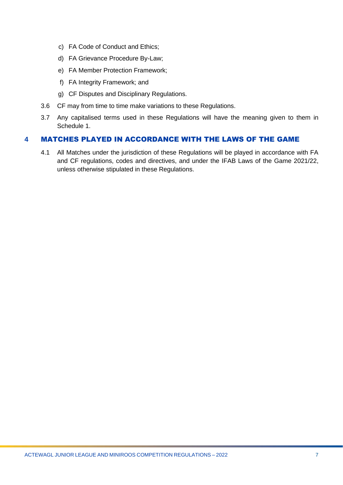- c) FA Code of Conduct and Ethics;
- d) FA Grievance Procedure By-Law;
- e) FA Member Protection Framework;
- f) FA Integrity Framework; and
- g) CF Disputes and Disciplinary Regulations.
- 3.6 CF may from time to time make variations to these Regulations.
- 3.7 Any capitalised terms used in these Regulations will have the meaning given to them in Schedule 1.

#### <span id="page-6-0"></span>**4** MATCHES PLAYED IN ACCORDANCE WITH THE LAWS OF THE GAME

4.1 All Matches under the jurisdiction of these Regulations will be played in accordance with FA and CF regulations, codes and directives, and under the IFAB Laws of the Game 2021/22, unless otherwise stipulated in these Regulations.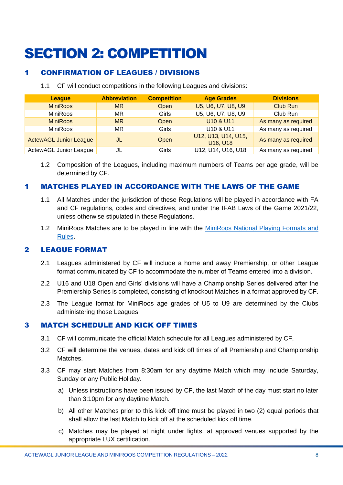# <span id="page-7-0"></span>SECTION 2: COMPETITION

# <span id="page-7-1"></span>1 CONFIRMATION OF LEAGUES / DIVISIONS

1.1 CF will conduct competitions in the following Leagues and divisions:

| <b>League</b>                 | <b>Abbreviation</b> | <b>Competition</b> | <b>Age Grades</b>                                      | <b>Divisions</b>    |
|-------------------------------|---------------------|--------------------|--------------------------------------------------------|---------------------|
| <b>MiniRoos</b>               | <b>MR</b>           | <b>Open</b>        | U5, U6, U7, U8, U9                                     | <b>Club Run</b>     |
| <b>MiniRoos</b>               | ΜR                  | Girls              | U5, U6, U7, U8, U9                                     | Club Run            |
| <b>MiniRoos</b>               | <b>MR</b>           | Open               | U10 & U11                                              | As many as required |
| <b>MiniRoos</b>               | MR.                 | <b>Girls</b>       | U10 & U11                                              | As many as required |
| <b>ActewAGL Junior League</b> | JL                  | Open               | U12, U13, U14, U15,<br>U <sub>16</sub> U <sub>18</sub> | As many as required |
| <b>ActewAGL Junior League</b> | JL                  | Girls              | U12, U14, U16, U18                                     | As many as required |

1.2 Composition of the Leagues, including maximum numbers of Teams per age grade, will be determined by CF.

# <span id="page-7-2"></span>1 MATCHES PLAYED IN ACCORDANCE WITH THE LAWS OF THE GAME

- 1.1 All Matches under the jurisdiction of these Regulations will be played in accordance with FA and CF regulations, codes and directives, and under the IFAB Laws of the Game 2021/22, unless otherwise stipulated in these Regulations.
- 1.2 MiniRoos Matches are to be played in line with the MiniRoos National Playing Formats and [Rules](https://www.playfootball.com.au/sites/play/files/2020-01/Playing-Formats-and-Rules.pdf)**.**

# <span id="page-7-3"></span>2 LEAGUE FORMAT

- 2.1 Leagues administered by CF will include a home and away Premiership, or other League format communicated by CF to accommodate the number of Teams entered into a division.
- 2.2 U16 and U18 Open and Girls' divisions will have a Championship Series delivered after the Premiership Series is completed, consisting of knockout Matches in a format approved by CF.
- 2.3 The League format for MiniRoos age grades of U5 to U9 are determined by the Clubs administering those Leagues.

#### <span id="page-7-4"></span>3 MATCH SCHEDULE AND KICK OFF TIMES

- 3.1 CF will communicate the official Match schedule for all Leagues administered by CF.
- 3.2 CF will determine the venues, dates and kick off times of all Premiership and Championship Matches.
- 3.3 CF may start Matches from 8:30am for any daytime Match which may include Saturday, Sunday or any Public Holiday.
	- a) Unless instructions have been issued by CF, the last Match of the day must start no later than 3:10pm for any daytime Match.
	- b) All other Matches prior to this kick off time must be played in two (2) equal periods that shall allow the last Match to kick off at the scheduled kick off time.
	- c) Matches may be played at night under lights, at approved venues supported by the appropriate LUX certification.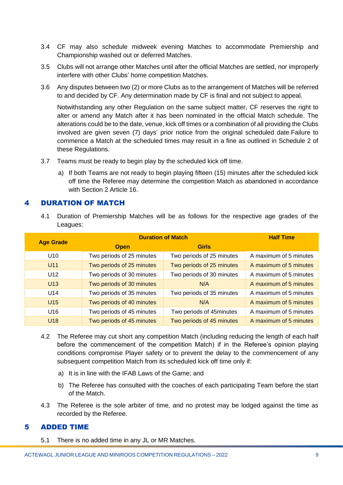- 3.4 CF may also schedule midweek evening Matches to accommodate Premiership and Championship washed out or deferred Matches.
- 3.5 Clubs will not arrange other Matches until after the official Matches are settled, nor improperly interfere with other Clubs' home competition Matches.
- 3.6 Any disputes between two (2) or more Clubs as to the arrangement of Matches will be referred to and decided by CF. Any determination made by CF is final and not subject to appeal.

Notwithstanding any other Regulation on the same subject matter, CF reserves the right to alter or amend any Match after it has been nominated in the official Match schedule. The alterations could be to the date, venue, kick off times or a combination of all providing the Clubs involved are given seven (7) days' prior notice from the original scheduled date.Failure to commence a Match at the scheduled times may result in a fine as outlined in Schedule 2 of these Regulations.

- 3.7 Teams must be ready to begin play by the scheduled kick off time.
	- a) If both Teams are not ready to begin playing fifteen (15) minutes after the scheduled kick off time the Referee may determine the competition Match as abandoned in accordance with Section 2 Article 16.

#### <span id="page-8-0"></span>4 DURATION OF MATCH

4.1 Duration of Premiership Matches will be as follows for the respective age grades of the Leagues:

| <b>Age Grade</b> | <b>Duration of Match</b>  | <b>Half Time</b>          |                        |
|------------------|---------------------------|---------------------------|------------------------|
|                  | <b>Open</b>               | <b>Girls</b>              |                        |
| U <sub>10</sub>  | Two periods of 25 minutes | Two periods of 25 minutes | A maximum of 5 minutes |
| U <sub>11</sub>  | Two periods of 25 minutes | Two periods of 25 minutes | A maximum of 5 minutes |
| U <sub>12</sub>  | Two periods of 30 minutes | Two periods of 30 minutes | A maximum of 5 minutes |
| U13              | Two periods of 30 minutes | N/A                       | A maximum of 5 minutes |
| U14              | Two periods of 35 minutes | Two periods of 35 minutes | A maximum of 5 minutes |
| U <sub>15</sub>  | Two periods of 40 minutes | N/A                       | A maximum of 5 minutes |
| U <sub>16</sub>  | Two periods of 45 minutes | Two periods of 45minutes  | A maximum of 5 minutes |
| U18              | Two periods of 45 minutes | Two periods of 45 minutes | A maximum of 5 minutes |

- 4.2 The Referee may cut short any competition Match (including reducing the length of each half before the commencement of the competition Match) if in the Referee's opinion playing conditions compromise Player safety or to prevent the delay to the commencement of any subsequent competition Match from its scheduled kick off time only if:
	- a) It is in line with the IFAB Laws of the Game; and
	- b) The Referee has consulted with the coaches of each participating Team before the start of the Match.
- 4.3 The Referee is the sole arbiter of time, and no protest may be lodged against the time as recorded by the Referee.

#### <span id="page-8-1"></span>5 ADDED TIME

5.1 There is no added time in any JL or MR Matches.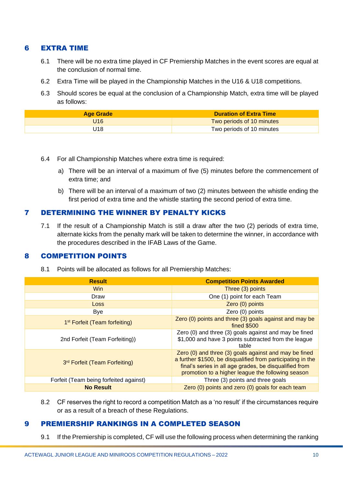### <span id="page-9-0"></span>6 EXTRA TIME

- 6.1 There will be no extra time played in CF Premiership Matches in the event scores are equal at the conclusion of normal time.
- 6.2 Extra Time will be played in the Championship Matches in the U16 & U18 competitions.
- 6.3 Should scores be equal at the conclusion of a Championship Match, extra time will be played as follows:

| <b>Age Grade</b> | <b>Duration of Extra Time</b> |
|------------------|-------------------------------|
| U16              | Two periods of 10 minutes     |
| J18              | Two periods of 10 minutes     |

- 6.4 For all Championship Matches where extra time is required:
	- a) There will be an interval of a maximum of five (5) minutes before the commencement of extra time; and
	- b) There will be an interval of a maximum of two (2) minutes between the whistle ending the first period of extra time and the whistle starting the second period of extra time.

# <span id="page-9-1"></span>7 DETERMINING THE WINNER BY PENALTY KICKS

7.1 If the result of a Championship Match is still a draw after the two (2) periods of extra time, alternate kicks from the penalty mark will be taken to determine the winner, in accordance with the procedures described in the IFAB Laws of the Game.

#### <span id="page-9-2"></span>8 COMPETITION POINTS

8.1 Points will be allocated as follows for all Premiership Matches:

| <b>Result</b>                             | <b>Competition Points Awarded</b>                                                                                                                                                                                                   |
|-------------------------------------------|-------------------------------------------------------------------------------------------------------------------------------------------------------------------------------------------------------------------------------------|
| <b>Win</b>                                | Three (3) points                                                                                                                                                                                                                    |
| Draw                                      | One (1) point for each Team                                                                                                                                                                                                         |
| <b>Loss</b>                               | Zero (0) points                                                                                                                                                                                                                     |
| Bye                                       | Zero (0) points                                                                                                                                                                                                                     |
| 1 <sup>st</sup> Forfeit (Team forfeiting) | Zero (0) points and three (3) goals against and may be<br><b>fined \$500</b>                                                                                                                                                        |
| 2nd Forfeit (Team Forfeiting))            | Zero (0) and three (3) goals against and may be fined<br>\$1,000 and have 3 points subtracted from the league<br>table                                                                                                              |
| 3rd Forfeit (Team Forfeiting)             | Zero (0) and three (3) goals against and may be fined<br>a further \$1500, be disqualified from participating in the<br>final's series in all age grades, be disqualified from<br>promotion to a higher league the following season |
| Forfeit (Team being forfeited against)    | Three (3) points and three goals                                                                                                                                                                                                    |
| <b>No Result</b>                          | Zero (0) points and zero (0) goals for each team                                                                                                                                                                                    |

8.2 CF reserves the right to record a competition Match as a 'no result' if the circumstances require or as a result of a breach of these Regulations.

#### <span id="page-9-3"></span>9 PREMIERSHIP RANKINGS IN A COMPLETED SEASON

9.1 If the Premiership is completed, CF will use the following process when determining the ranking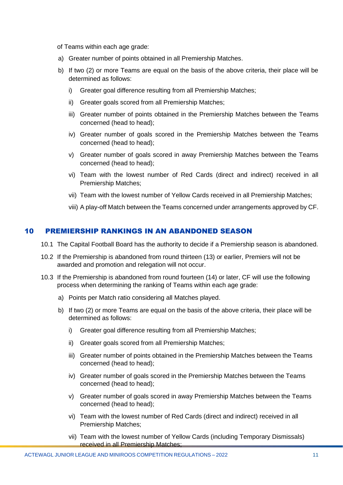of Teams within each age grade:

- a) Greater number of points obtained in all Premiership Matches.
- b) If two (2) or more Teams are equal on the basis of the above criteria, their place will be determined as follows:
	- i) Greater goal difference resulting from all Premiership Matches;
	- ii) Greater goals scored from all Premiership Matches;
	- iii) Greater number of points obtained in the Premiership Matches between the Teams concerned (head to head);
	- iv) Greater number of goals scored in the Premiership Matches between the Teams concerned (head to head);
	- v) Greater number of goals scored in away Premiership Matches between the Teams concerned (head to head);
	- vi) Team with the lowest number of Red Cards (direct and indirect) received in all Premiership Matches;
	- vii) Team with the lowest number of Yellow Cards received in all Premiership Matches;
	- viii) A play-off Match between the Teams concerned under arrangements approved by CF.

#### <span id="page-10-0"></span>10 PREMIERSHIP RANKINGS IN AN ABANDONED SEASON

- 10.1 The Capital Football Board has the authority to decide if a Premiership season is abandoned.
- 10.2 If the Premiership is abandoned from round thirteen (13) or earlier, Premiers will not be awarded and promotion and relegation will not occur.
- 10.3 If the Premiership is abandoned from round fourteen (14) or later, CF will use the following process when determining the ranking of Teams within each age grade:
	- a) Points per Match ratio considering all Matches played.
	- b) If two (2) or more Teams are equal on the basis of the above criteria, their place will be determined as follows:
		- i) Greater goal difference resulting from all Premiership Matches;
		- ii) Greater goals scored from all Premiership Matches;
		- iii) Greater number of points obtained in the Premiership Matches between the Teams concerned (head to head);
		- iv) Greater number of goals scored in the Premiership Matches between the Teams concerned (head to head);
		- v) Greater number of goals scored in away Premiership Matches between the Teams concerned (head to head);
		- vi) Team with the lowest number of Red Cards (direct and indirect) received in all Premiership Matches;
		- vii) Team with the lowest number of Yellow Cards (including Temporary Dismissals) received in all Premiership Matches;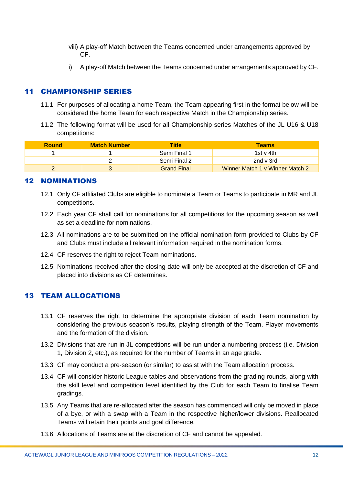- viii) A play-off Match between the Teams concerned under arrangements approved by CF.
- i) A play-off Match between the Teams concerned under arrangements approved by CF.

# <span id="page-11-0"></span>11 CHAMPIONSHIP SERIES

- 11.1 For purposes of allocating a home Team, the Team appearing first in the format below will be considered the home Team for each respective Match in the Championship series.
- 11.2 The following format will be used for all Championship series Matches of the JL U16 & U18 competitions:

| <b>Round</b> | <b>Match Number</b> | Title              | <b>Teams</b>                    |
|--------------|---------------------|--------------------|---------------------------------|
|              |                     | Semi Final 1       | 1st v 4th                       |
|              |                     | Semi Final 2       | 2nd v 3rd                       |
|              |                     | <b>Grand Final</b> | Winner Match 1 v Winner Match 2 |

# <span id="page-11-1"></span>12 NOMINATIONS

- 12.1 Only CF affiliated Clubs are eligible to nominate a Team or Teams to participate in MR and JL competitions.
- 12.2 Each year CF shall call for nominations for all competitions for the upcoming season as well as set a deadline for nominations.
- 12.3 All nominations are to be submitted on the official nomination form provided to Clubs by CF and Clubs must include all relevant information required in the nomination forms.
- 12.4 CF reserves the right to reject Team nominations.
- 12.5 Nominations received after the closing date will only be accepted at the discretion of CF and placed into divisions as CF determines.

# <span id="page-11-2"></span>13 TEAM ALLOCATIONS

- 13.1 CF reserves the right to determine the appropriate division of each Team nomination by considering the previous season's results, playing strength of the Team, Player movements and the formation of the division.
- 13.2 Divisions that are run in JL competitions will be run under a numbering process (i.e. Division 1, Division 2, etc.), as required for the number of Teams in an age grade.
- 13.3 CF may conduct a pre-season (or similar) to assist with the Team allocation process.
- 13.4 CF will consider historic League tables and observations from the grading rounds, along with the skill level and competition level identified by the Club for each Team to finalise Team gradings.
- 13.5 Any Teams that are re-allocated after the season has commenced will only be moved in place of a bye, or with a swap with a Team in the respective higher/lower divisions. Reallocated Teams will retain their points and goal difference.
- 13.6 Allocations of Teams are at the discretion of CF and cannot be appealed.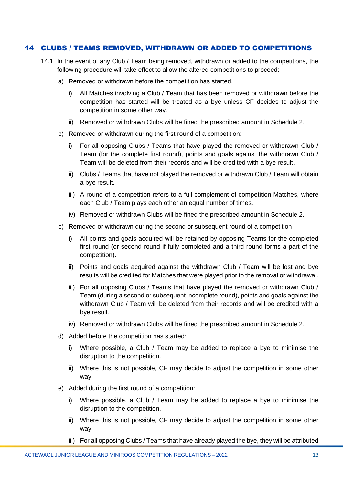#### <span id="page-12-0"></span>14 CLUBS / TEAMS REMOVED, WITHDRAWN OR ADDED TO COMPETITIONS

- 14.1 In the event of any Club / Team being removed, withdrawn or added to the competitions, the following procedure will take effect to allow the altered competitions to proceed:
	- a) Removed or withdrawn before the competition has started.
		- i) All Matches involving a Club / Team that has been removed or withdrawn before the competition has started will be treated as a bye unless CF decides to adjust the competition in some other way.
		- ii) Removed or withdrawn Clubs will be fined the prescribed amount in Schedule 2.
	- b) Removed or withdrawn during the first round of a competition:
		- i) For all opposing Clubs / Teams that have played the removed or withdrawn Club / Team (for the complete first round), points and goals against the withdrawn Club / Team will be deleted from their records and will be credited with a bye result.
		- ii) Clubs / Teams that have not played the removed or withdrawn Club / Team will obtain a bye result.
		- iii) A round of a competition refers to a full complement of competition Matches, where each Club / Team plays each other an equal number of times.
		- iv) Removed or withdrawn Clubs will be fined the prescribed amount in Schedule 2.
	- c) Removed or withdrawn during the second or subsequent round of a competition:
		- i) All points and goals acquired will be retained by opposing Teams for the completed first round (or second round if fully completed and a third round forms a part of the competition).
		- ii) Points and goals acquired against the withdrawn Club / Team will be lost and bye results will be credited for Matches that were played prior to the removal or withdrawal.
		- iii) For all opposing Clubs / Teams that have played the removed or withdrawn Club / Team (during a second or subsequent incomplete round), points and goals against the withdrawn Club / Team will be deleted from their records and will be credited with a bye result.
		- iv) Removed or withdrawn Clubs will be fined the prescribed amount in Schedule 2.
	- d) Added before the competition has started:
		- i) Where possible, a Club / Team may be added to replace a bye to minimise the disruption to the competition.
		- ii) Where this is not possible, CF may decide to adjust the competition in some other way.
	- e) Added during the first round of a competition:
		- i) Where possible, a Club / Team may be added to replace a bye to minimise the disruption to the competition.
		- ii) Where this is not possible, CF may decide to adjust the competition in some other way.
		- iii) For all opposing Clubs / Teams that have already played the bye, they will be attributed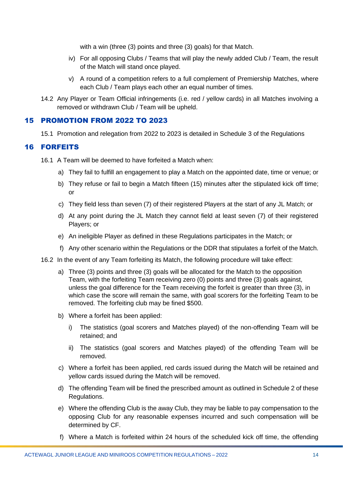with a win (three (3) points and three (3) goals) for that Match.

- iv) For all opposing Clubs / Teams that will play the newly added Club / Team, the result of the Match will stand once played.
- v) A round of a competition refers to a full complement of Premiership Matches, where each Club / Team plays each other an equal number of times.
- 14.2 Any Player or Team Official infringements (i.e. red / yellow cards) in all Matches involving a removed or withdrawn Club / Team will be upheld.

#### <span id="page-13-0"></span>15 PROMOTION FROM 2022 TO 2023

15.1 Promotion and relegation from 2022 to 2023 is detailed in Schedule 3 of the Regulations

# <span id="page-13-1"></span>16 FORFEITS

- 16.1 A Team will be deemed to have forfeited a Match when:
	- a) They fail to fulfill an engagement to play a Match on the appointed date, time or venue; or
	- b) They refuse or fail to begin a Match fifteen (15) minutes after the stipulated kick off time; or
	- c) They field less than seven (7) of their registered Players at the start of any JL Match; or
	- d) At any point during the JL Match they cannot field at least seven (7) of their registered Players; or
	- e) An ineligible Player as defined in these Regulations participates in the Match; or
	- f) Any other scenario within the Regulations or the DDR that stipulates a forfeit of the Match.
- 16.2 In the event of any Team forfeiting its Match, the following procedure will take effect:
	- a) Three (3) points and three (3) goals will be allocated for the Match to the opposition Team, with the forfeiting Team receiving zero (0) points and three (3) goals against, unless the goal difference for the Team receiving the forfeit is greater than three (3), in which case the score will remain the same, with goal scorers for the forfeiting Team to be removed. The forfeiting club may be fined \$500.
	- b) Where a forfeit has been applied:
		- i) The statistics (goal scorers and Matches played) of the non-offending Team will be retained; and
		- ii) The statistics (goal scorers and Matches played) of the offending Team will be removed.
	- c) Where a forfeit has been applied, red cards issued during the Match will be retained and yellow cards issued during the Match will be removed.
	- d) The offending Team will be fined the prescribed amount as outlined in Schedule 2 of these Regulations.
	- e) Where the offending Club is the away Club, they may be liable to pay compensation to the opposing Club for any reasonable expenses incurred and such compensation will be determined by CF.
	- f) Where a Match is forfeited within 24 hours of the scheduled kick off time, the offending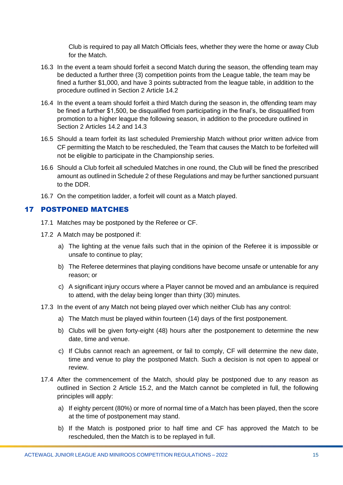Club is required to pay all Match Officials fees, whether they were the home or away Club for the Match.

- 16.3 In the event a team should forfeit a second Match during the season, the offending team may be deducted a further three (3) competition points from the League table, the team may be fined a further \$1,000, and have 3 points subtracted from the league table, in addition to the procedure outlined in Section 2 Article 14.2
- 16.4 In the event a team should forfeit a third Match during the season in, the offending team may be fined a further \$1,500, be disqualified from participating in the final's, be disqualified from promotion to a higher league the following season, in addition to the procedure outlined in Section 2 Articles 14.2 and 14.3
- 16.5 Should a team forfeit its last scheduled Premiership Match without prior written advice from CF permitting the Match to be rescheduled, the Team that causes the Match to be forfeited will not be eligible to participate in the Championship series.
- 16.6 Should a Club forfeit all scheduled Matches in one round, the Club will be fined the prescribed amount as outlined in Schedule 2 of these Regulations and may be further sanctioned pursuant to the DDR.
- 16.7 On the competition ladder, a forfeit will count as a Match played.

#### <span id="page-14-0"></span>17 POSTPONED MATCHES

- 17.1 Matches may be postponed by the Referee or CF.
- 17.2 A Match may be postponed if:
	- a) The lighting at the venue fails such that in the opinion of the Referee it is impossible or unsafe to continue to play;
	- b) The Referee determines that playing conditions have become unsafe or untenable for any reason; or
	- c) A significant injury occurs where a Player cannot be moved and an ambulance is required to attend, with the delay being longer than thirty (30) minutes.
- 17.3 In the event of any Match not being played over which neither Club has any control:
	- a) The Match must be played within fourteen (14) days of the first postponement.
	- b) Clubs will be given forty-eight (48) hours after the postponement to determine the new date, time and venue.
	- c) If Clubs cannot reach an agreement, or fail to comply, CF will determine the new date, time and venue to play the postponed Match. Such a decision is not open to appeal or review.
- 17.4 After the commencement of the Match, should play be postponed due to any reason as outlined in Section 2 Article 15.2, and the Match cannot be completed in full, the following principles will apply:
	- a) If eighty percent (80%) or more of normal time of a Match has been played, then the score at the time of postponement may stand.
	- b) If the Match is postponed prior to half time and CF has approved the Match to be rescheduled, then the Match is to be replayed in full.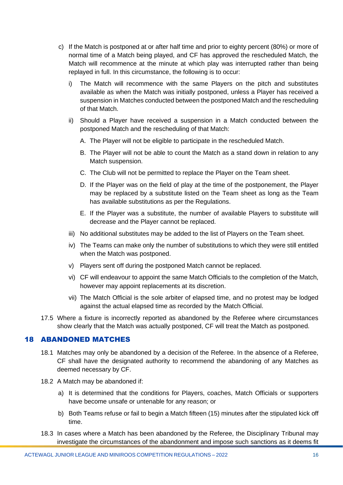- c) If the Match is postponed at or after half time and prior to eighty percent (80%) or more of normal time of a Match being played, and CF has approved the rescheduled Match, the Match will recommence at the minute at which play was interrupted rather than being replayed in full. In this circumstance, the following is to occur:
	- i) The Match will recommence with the same Players on the pitch and substitutes available as when the Match was initially postponed, unless a Player has received a suspension in Matches conducted between the postponed Match and the rescheduling of that Match.
	- ii) Should a Player have received a suspension in a Match conducted between the postponed Match and the rescheduling of that Match:
		- A. The Player will not be eligible to participate in the rescheduled Match.
		- B. The Player will not be able to count the Match as a stand down in relation to any Match suspension.
		- C. The Club will not be permitted to replace the Player on the Team sheet.
		- D. If the Player was on the field of play at the time of the postponement, the Player may be replaced by a substitute listed on the Team sheet as long as the Team has available substitutions as per the Regulations.
		- E. If the Player was a substitute, the number of available Players to substitute will decrease and the Player cannot be replaced.
	- iii) No additional substitutes may be added to the list of Players on the Team sheet.
	- iv) The Teams can make only the number of substitutions to which they were still entitled when the Match was postponed.
	- v) Players sent off during the postponed Match cannot be replaced.
	- vi) CF will endeavour to appoint the same Match Officials to the completion of the Match, however may appoint replacements at its discretion.
	- vii) The Match Official is the sole arbiter of elapsed time, and no protest may be lodged against the actual elapsed time as recorded by the Match Official.
- 17.5 Where a fixture is incorrectly reported as abandoned by the Referee where circumstances show clearly that the Match was actually postponed, CF will treat the Match as postponed.

#### <span id="page-15-0"></span>18 ABANDONED MATCHES

- 18.1 Matches may only be abandoned by a decision of the Referee. In the absence of a Referee, CF shall have the designated authority to recommend the abandoning of any Matches as deemed necessary by CF.
- 18.2 A Match may be abandoned if:
	- a) It is determined that the conditions for Players, coaches, Match Officials or supporters have become unsafe or untenable for any reason; or
	- b) Both Teams refuse or fail to begin a Match fifteen (15) minutes after the stipulated kick off time.
- 18.3 In cases where a Match has been abandoned by the Referee, the Disciplinary Tribunal may investigate the circumstances of the abandonment and impose such sanctions as it deems fit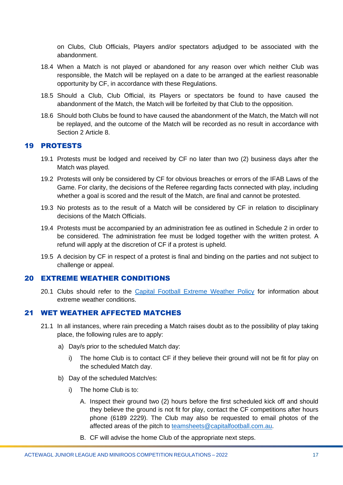on Clubs, Club Officials, Players and/or spectators adjudged to be associated with the abandonment.

- 18.4 When a Match is not played or abandoned for any reason over which neither Club was responsible, the Match will be replayed on a date to be arranged at the earliest reasonable opportunity by CF, in accordance with these Regulations.
- 18.5 Should a Club, Club Official, its Players or spectators be found to have caused the abandonment of the Match, the Match will be forfeited by that Club to the opposition.
- 18.6 Should both Clubs be found to have caused the abandonment of the Match, the Match will not be replayed, and the outcome of the Match will be recorded as no result in accordance with Section 2 Article 8.

#### <span id="page-16-0"></span>19 PROTESTS

- 19.1 Protests must be lodged and received by CF no later than two (2) business days after the Match was played.
- 19.2 Protests will only be considered by CF for obvious breaches or errors of the IFAB Laws of the Game. For clarity, the decisions of the Referee regarding facts connected with play, including whether a goal is scored and the result of the Match, are final and cannot be protested.
- 19.3 No protests as to the result of a Match will be considered by CF in relation to disciplinary decisions of the Match Officials.
- 19.4 Protests must be accompanied by an administration fee as outlined in Schedule 2 in order to be considered. The administration fee must be lodged together with the written protest. A refund will apply at the discretion of CF if a protest is upheld.
- 19.5 A decision by CF in respect of a protest is final and binding on the parties and not subject to challenge or appeal.

#### <span id="page-16-1"></span>20 EXTREME WEATHER CONDITIONS

20.1 Clubs should refer to the [Capital Football Extreme Weather Policy](https://capitalfootball.com.au/about-us/policies-procedures/) for information about extreme weather conditions.

#### <span id="page-16-2"></span>21 WET WEATHER AFFECTED MATCHES

- 21.1 In all instances, where rain preceding a Match raises doubt as to the possibility of play taking place, the following rules are to apply:
	- a) Day/s prior to the scheduled Match day:
		- i) The home Club is to contact CF if they believe their ground will not be fit for play on the scheduled Match day.
	- b) Day of the scheduled Match/es:
		- i) The home Club is to:
			- A. Inspect their ground two (2) hours before the first scheduled kick off and should they believe the ground is not fit for play, contact the CF competitions after hours phone (6189 2229). The Club may also be requested to email photos of the affected areas of the pitch to [teamsheets@capitalfootball.com.au.](mailto:teamsheets@capitalfootball.com.au)
			- B. CF will advise the home Club of the appropriate next steps.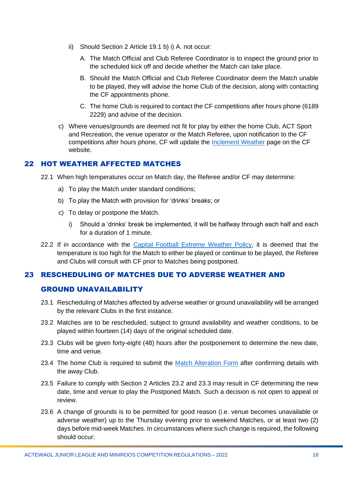- ii) Should Section 2 Article 19.1 b) i) A. not occur:
	- A. The Match Official and Club Referee Coordinator is to inspect the ground prior to the scheduled kick off and decide whether the Match can take place.
	- B. Should the Match Official and Club Referee Coordinator deem the Match unable to be played, they will advise the home Club of the decision, along with contacting the CF appointments phone.
	- C. The home Club is required to contact the CF competitions after hours phone (6189 2229) and advise of the decision.
- c) Where venues/grounds are deemed not fit for play by either the home Club, ACT Sport and Recreation, the venue operator or the Match Referee, upon notification to the CF competitions after hours phone, CF will update the [Inclement Weather](https://capitalfootball.com.au/inclement-weather-information-for-participants/) page on the CF website.

# <span id="page-17-0"></span>22 HOT WEATHER AFFECTED MATCHES

- 22.1 When high temperatures occur on Match day, the Referee and/or CF may determine:
	- a) To play the Match under standard conditions;
	- b) To play the Match with provision for 'drinks' breaks; or
	- c) To delay or postpone the Match.
		- i) Should a 'drinks' break be implemented, it will be halfway through each half and each for a duration of 1 minute.
- 22.2 If in accordance with the [Capital Football Extreme Weather Policy,](https://capitalfootball.com.au/about-us/policies-procedures/) it is deemed that the temperature is too high for the Match to either be played or continue to be played, the Referee and Clubs will consult with CF prior to Matches being postponed.

# <span id="page-17-1"></span>23 RESCHEDULING OF MATCHES DUE TO ADVERSE WEATHER AND

# GROUND UNAVAILABILITY

- 23.1 Rescheduling of Matches affected by adverse weather or ground unavailability will be arranged by the relevant Clubs in the first instance.
- 23.2 Matches are to be rescheduled, subject to ground availability and weather conditions, to be played within fourteen (14) days of the original scheduled date.
- 23.3 Clubs will be given forty-eight (48) hours after the postponement to determine the new date, time and venue.
- 23.4 The home Club is required to submit the [Match Alteration Form](https://form.jotform.com/220787443637868) after confirming details with the away Club.
- 23.5 Failure to comply with Section 2 Articles 23.2 and 23.3 may result in CF determining the new date, time and venue to play the Postponed Match. Such a decision is not open to appeal or review.
- 23.6 A change of grounds is to be permitted for good reason (i.e. venue becomes unavailable or adverse weather) up to the Thursday evening prior to weekend Matches, or at least two (2) days before mid-week Matches. In circumstances where such change is required, the following should occur: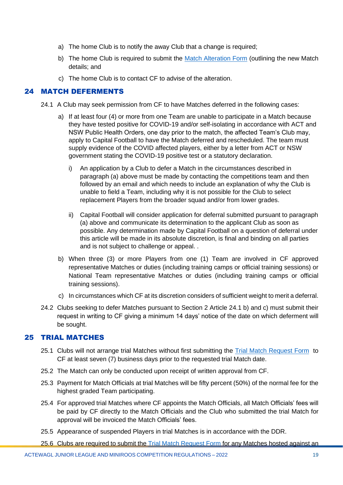- a) The home Club is to notify the away Club that a change is required;
- b) The home Club is required to submit the [Match Alteration Form](https://form.jotform.com/220787443637868) (outlining the new Match details; and
- c) The home Club is to contact CF to advise of the alteration.

#### <span id="page-18-0"></span>24 MATCH DEFERMENTS

- 24.1 A Club may seek permission from CF to have Matches deferred in the following cases:
	- a) If at least four (4) or more from one Team are unable to participate in a Match because they have tested positive for COVID-19 and/or self-isolating in accordance with ACT and NSW Public Health Orders, one day prior to the match, the affected Team's Club may, apply to Capital Football to have the Match deferred and rescheduled. The team must supply evidence of the COVID affected players, either by a letter from ACT or NSW government stating the COVID-19 positive test or a statutory declaration.
		- i) An application by a Club to defer a Match in the circumstances described in paragraph (a) above must be made by contacting the competitions team and then followed by an email and which needs to include an explanation of why the Club is unable to field a Team, including why it is not possible for the Club to select replacement Players from the broader squad and/or from lower grades.
		- ii) Capital Football will consider application for deferral submitted pursuant to paragraph (a) above and communicate its determination to the applicant Club as soon as possible. Any determination made by Capital Football on a question of deferral under this article will be made in its absolute discretion, is final and binding on all parties and is not subject to challenge or appeal. .
	- b) When three (3) or more Players from one (1) Team are involved in CF approved representative Matches or duties (including training camps or official training sessions) or National Team representative Matches or duties (including training camps or official training sessions).
	- c) In circumstances which CF at its discretion considers of sufficient weight to merit a deferral.
- 24.2 Clubs seeking to defer Matches pursuant to Section 2 Article 24.1 b) and c) must submit their request in writing to CF giving a minimum 14 days' notice of the date on which deferment will be sought.

#### <span id="page-18-1"></span>25 TRIAL MATCHES

- 25.1 Clubs will not arrange trial Matches without first submitting the [Trial Match Request Form](https://form.jotform.com/213108757613859) to CF at least seven (7) business days prior to the requested trial Match date.
- 25.2 The Match can only be conducted upon receipt of written approval from CF.
- 25.3 Payment for Match Officials at trial Matches will be fifty percent (50%) of the normal fee for the highest graded Team participating.
- 25.4 For approved trial Matches where CF appoints the Match Officials, all Match Officials' fees will be paid by CF directly to the Match Officials and the Club who submitted the trial Match for approval will be invoiced the Match Officials' fees.
- 25.5 Appearance of suspended Players in trial Matches is in accordance with the DDR.

25.6 Clubs are required to submit the [Trial Match Request Form](https://form.jotform.com/213108757613859) for any Matches hosted against an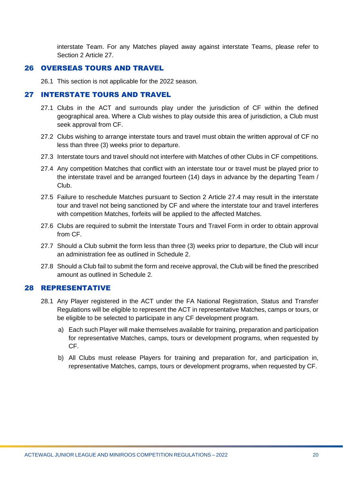interstate Team. For any Matches played away against interstate Teams, please refer to Section 2 Article 27.

#### <span id="page-19-0"></span>26 OVERSEAS TOURS AND TRAVEL

26.1 This section is not applicable for the 2022 season.

#### <span id="page-19-1"></span>27 INTERSTATE TOURS AND TRAVEL

- 27.1 Clubs in the ACT and surrounds play under the jurisdiction of CF within the defined geographical area. Where a Club wishes to play outside this area of jurisdiction, a Club must seek approval from CF.
- 27.2 Clubs wishing to arrange interstate tours and travel must obtain the written approval of CF no less than three (3) weeks prior to departure.
- 27.3 Interstate tours and travel should not interfere with Matches of other Clubs in CF competitions.
- 27.4 Any competition Matches that conflict with an interstate tour or travel must be played prior to the interstate travel and be arranged fourteen (14) days in advance by the departing Team / Club.
- 27.5 Failure to reschedule Matches pursuant to Section 2 Article 27.4 may result in the interstate tour and travel not being sanctioned by CF and where the interstate tour and travel interferes with competition Matches, forfeits will be applied to the affected Matches.
- 27.6 Clubs are required to submit the Interstate Tours and Travel Form in order to obtain approval from CF.
- 27.7 Should a Club submit the form less than three (3) weeks prior to departure, the Club will incur an administration fee as outlined in Schedule 2.
- 27.8 Should a Club fail to submit the form and receive approval, the Club will be fined the prescribed amount as outlined in Schedule 2.

#### <span id="page-19-2"></span>28 REPRESENTATIVE

- 28.1 Any Player registered in the ACT under the FA National Registration, Status and Transfer Regulations will be eligible to represent the ACT in representative Matches, camps or tours, or be eligible to be selected to participate in any CF development program.
	- a) Each such Player will make themselves available for training, preparation and participation for representative Matches, camps, tours or development programs, when requested by CF.
	- b) All Clubs must release Players for training and preparation for, and participation in, representative Matches, camps, tours or development programs, when requested by CF.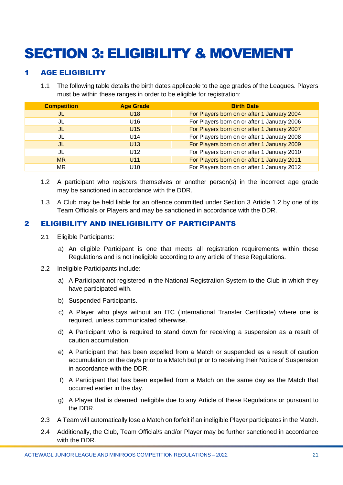# <span id="page-20-0"></span>SECTION 3: ELIGIBILITY & MOVEMENT

# <span id="page-20-1"></span>**AGE ELIGIBILITY**

1.1 The following table details the birth dates applicable to the age grades of the Leagues. Players must be within these ranges in order to be eligible for registration:

| <b>Competition</b> | <b>Age Grade</b> | <b>Birth Date</b>                           |
|--------------------|------------------|---------------------------------------------|
| JL                 | U <sub>18</sub>  | For Players born on or after 1 January 2004 |
| JL                 | U <sub>16</sub>  | For Players born on or after 1 January 2006 |
| JL                 | U15              | For Players born on or after 1 January 2007 |
| JL                 | U <sub>14</sub>  | For Players born on or after 1 January 2008 |
| JL                 | U <sub>13</sub>  | For Players born on or after 1 January 2009 |
| JL                 | U <sub>12</sub>  | For Players born on or after 1 January 2010 |
| <b>MR</b>          | U11              | For Players born on or after 1 January 2011 |
| MR                 | U <sub>10</sub>  | For Players born on or after 1 January 2012 |

- 1.2 A participant who registers themselves or another person(s) in the incorrect age grade may be sanctioned in accordance with the DDR.
- 1.3 A Club may be held liable for an offence committed under Section 3 Article 1.2 by one of its Team Officials or Players and may be sanctioned in accordance with the DDR.

# <span id="page-20-2"></span>2 ELIGIBILITY AND INELIGIBILITY OF PARTICIPANTS

- 2.1 Eligible Participants:
	- a) An eligible Participant is one that meets all registration requirements within these Regulations and is not ineligible according to any article of these Regulations.
- 2.2 Ineligible Participants include:
	- a) A Participant not registered in the National Registration System to the Club in which they have participated with.
	- b) Suspended Participants.
	- c) A Player who plays without an ITC (International Transfer Certificate) where one is required, unless communicated otherwise.
	- d) A Participant who is required to stand down for receiving a suspension as a result of caution accumulation.
	- e) A Participant that has been expelled from a Match or suspended as a result of caution accumulation on the day/s prior to a Match but prior to receiving their Notice of Suspension in accordance with the DDR.
	- f) A Participant that has been expelled from a Match on the same day as the Match that occurred earlier in the day.
	- g) A Player that is deemed ineligible due to any Article of these Regulations or pursuant to the DDR.
- 2.3 A Team will automatically lose a Match on forfeit if an ineligible Player participates in the Match.
- 2.4 Additionally, the Club, Team Official/s and/or Player may be further sanctioned in accordance with the DDR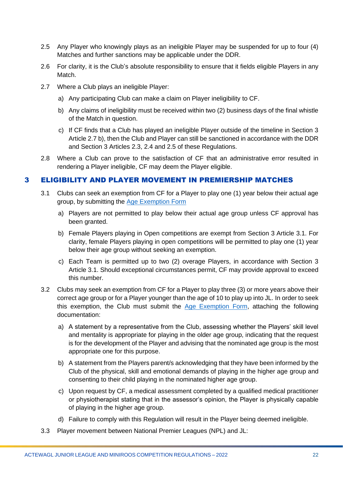- 2.5 Any Player who knowingly plays as an ineligible Player may be suspended for up to four (4) Matches and further sanctions may be applicable under the DDR.
- 2.6 For clarity, it is the Club's absolute responsibility to ensure that it fields eligible Players in any Match.
- 2.7 Where a Club plays an ineligible Player:
	- a) Any participating Club can make a claim on Player ineligibility to CF.
	- b) Any claims of ineligibility must be received within two (2) business days of the final whistle of the Match in question.
	- c) If CF finds that a Club has played an ineligible Player outside of the timeline in Section 3 Article 2.7 b), then the Club and Player can still be sanctioned in accordance with the DDR and Section 3 Articles 2.3, 2.4 and 2.5 of these Regulations.
- 2.8 Where a Club can prove to the satisfaction of CF that an administrative error resulted in rendering a Player ineligible, CF may deem the Player eligible.

#### <span id="page-21-0"></span>3 ELIGIBILITY AND PLAYER MOVEMENT IN PREMIERSHIP MATCHES

- 3.1 Clubs can seek an exemption from CF for a Player to play one (1) year below their actual age group, by submitting the [Age Exemption Form](https://form.jotform.com/220257970972867)
	- a) Players are not permitted to play below their actual age group unless CF approval has been granted.
	- b) Female Players playing in Open competitions are exempt from Section 3 Article 3.1. For clarity, female Players playing in open competitions will be permitted to play one (1) year below their age group without seeking an exemption.
	- c) Each Team is permitted up to two (2) overage Players, in accordance with Section 3 Article 3.1. Should exceptional circumstances permit, CF may provide approval to exceed this number.
- 3.2 Clubs may seek an exemption from CF for a Player to play three (3) or more years above their correct age group or for a Player younger than the age of 10 to play up into JL. In order to seek this exemption, the Club must submit the [Age Exemption Form,](https://form.jotform.com/220257970972867) attaching the following documentation:
	- a) A statement by a representative from the Club, assessing whether the Players' skill level and mentality is appropriate for playing in the older age group, indicating that the request is for the development of the Player and advising that the nominated age group is the most appropriate one for this purpose.
	- b) A statement from the Players parent/s acknowledging that they have been informed by the Club of the physical, skill and emotional demands of playing in the higher age group and consenting to their child playing in the nominated higher age group.
	- c) Upon request by CF, a medical assessment completed by a qualified medical practitioner or physiotherapist stating that in the assessor's opinion, the Player is physically capable of playing in the higher age group.
	- d) Failure to comply with this Regulation will result in the Player being deemed ineligible.
- 3.3 Player movement between National Premier Leagues (NPL) and JL: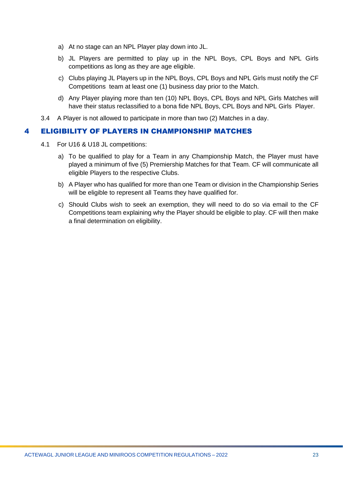- a) At no stage can an NPL Player play down into JL.
- b) JL Players are permitted to play up in the NPL Boys, CPL Boys and NPL Girls competitions as long as they are age eligible.
- c) Clubs playing JL Players up in the NPL Boys, CPL Boys and NPL Girls must notify the CF Competitions team at least one (1) business day prior to the Match.
- d) Any Player playing more than ten (10) NPL Boys, CPL Boys and NPL Girls Matches will have their status reclassified to a bona fide NPL Boys, CPL Boys and NPL Girls Player.
- 3.4 A Player is not allowed to participate in more than two (2) Matches in a day.

#### <span id="page-22-0"></span>4 ELIGIBILITY OF PLAYERS IN CHAMPIONSHIP MATCHES

- 4.1 For U16 & U18 JL competitions:
	- a) To be qualified to play for a Team in any Championship Match, the Player must have played a minimum of five (5) Premiership Matches for that Team. CF will communicate all eligible Players to the respective Clubs.
	- b) A Player who has qualified for more than one Team or division in the Championship Series will be eligible to represent all Teams they have qualified for.
	- c) Should Clubs wish to seek an exemption, they will need to do so via email to the CF Competitions team explaining why the Player should be eligible to play. CF will then make a final determination on eligibility.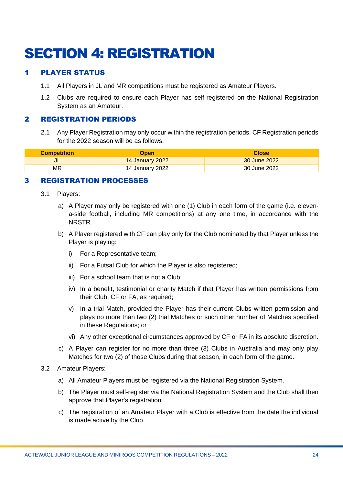# <span id="page-23-0"></span>SECTION 4: REGISTRATION

# <span id="page-23-1"></span>1 PLAYER STATUS

- 1.1 All Players in JL and MR competitions must be registered as Amateur Players.
- 1.2 Clubs are required to ensure each Player has self-registered on the National Registration System as an Amateur.

## <span id="page-23-2"></span>2 REGISTRATION PERIODS

2.1 Any Player Registration may only occur within the registration periods. CF Registration periods for the 2022 season will be as follows:

| <b>Competition</b> | Open            | <b>Close</b> |
|--------------------|-----------------|--------------|
| JL                 | 14 January 2022 | 30 June 2022 |
| MR                 | 14 January 2022 | 30 June 2022 |

# <span id="page-23-3"></span>3 REGISTRATION PROCESSES

- 3.1 Players:
	- a) A Player may only be registered with one (1) Club in each form of the game (i.e. elevena-side football, including MR competitions) at any one time, in accordance with the NRSTR.
	- b) A Player registered with CF can play only for the Club nominated by that Player unless the Player is playing:
		- i) For a Representative team;
		- ii) For a Futsal Club for which the Player is also registered;
		- iii) For a school team that is not a Club;
		- iv) In a benefit, testimonial or charity Match if that Player has written permissions from their Club, CF or FA, as required;
		- v) In a trial Match, provided the Player has their current Clubs written permission and plays no more than two (2) trial Matches or such other number of Matches specified in these Regulations; or
		- vi) Any other exceptional circumstances approved by CF or FA in its absolute discretion.
	- c) A Player can register for no more than three (3) Clubs in Australia and may only play Matches for two (2) of those Clubs during that season, in each form of the game.
- 3.2 Amateur Players:
	- a) All Amateur Players must be registered via the National Registration System.
	- b) The Player must self-register via the National Registration System and the Club shall then approve that Player's registration.
	- c) The registration of an Amateur Player with a Club is effective from the date the individual is made active by the Club.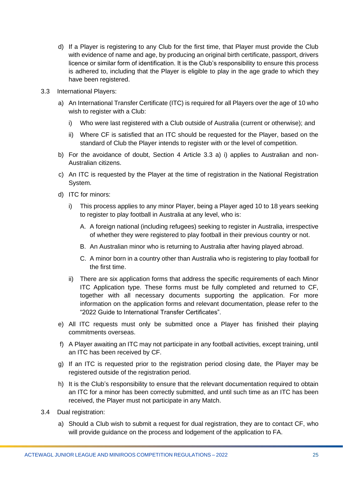- d) If a Player is registering to any Club for the first time, that Player must provide the Club with evidence of name and age, by producing an original birth certificate, passport, drivers licence or similar form of identification. It is the Club's responsibility to ensure this process is adhered to, including that the Player is eligible to play in the age grade to which they have been registered.
- 3.3 International Players:
	- a) An International Transfer Certificate (ITC) is required for all Players over the age of 10 who wish to register with a Club:
		- i) Who were last registered with a Club outside of Australia (current or otherwise); and
		- ii) Where CF is satisfied that an ITC should be requested for the Player, based on the standard of Club the Player intends to register with or the level of competition.
	- b) For the avoidance of doubt, Section 4 Article 3.3 a) i) applies to Australian and non-Australian citizens.
	- c) An ITC is requested by the Player at the time of registration in the National Registration System.
	- d) ITC for minors:
		- i) This process applies to any minor Player, being a Player aged 10 to 18 years seeking to register to play football in Australia at any level, who is:
			- A. A foreign national (including refugees) seeking to register in Australia, irrespective of whether they were registered to play football in their previous country or not.
			- B. An Australian minor who is returning to Australia after having played abroad.
			- C. A minor born in a country other than Australia who is registering to play football for the first time.
		- ii) There are six application forms that address the specific requirements of each Minor ITC Application type. These forms must be fully completed and returned to CF, together with all necessary documents supporting the application. For more information on the application forms and relevant documentation, please refer to the "2022 Guide to International Transfer Certificates".
	- e) All ITC requests must only be submitted once a Player has finished their playing commitments overseas.
	- f) A Player awaiting an ITC may not participate in any football activities, except training, until an ITC has been received by CF.
	- g) If an ITC is requested prior to the registration period closing date, the Player may be registered outside of the registration period.
	- h) It is the Club's responsibility to ensure that the relevant documentation required to obtain an ITC for a minor has been correctly submitted, and until such time as an ITC has been received, the Player must not participate in any Match.
- 3.4 Dual registration:
	- a) Should a Club wish to submit a request for dual registration, they are to contact CF, who will provide guidance on the process and lodgement of the application to FA.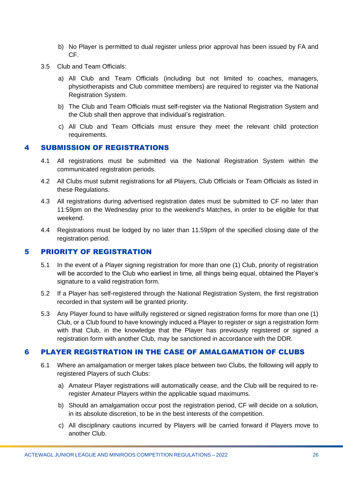- b) No Player is permitted to dual register unless prior approval has been issued by FA and CF.
- 3.5 Club and Team Officials:
	- a) All Club and Team Officials (including but not limited to coaches, managers, physiotherapists and Club committee members) are required to register via the National Registration System.
	- b) The Club and Team Officials must self-register via the National Registration System and the Club shall then approve that individual's registration.
	- c) All Club and Team Officials must ensure they meet the relevant child protection requirements.

#### <span id="page-25-0"></span>4 SUBMISSION OF REGISTRATIONS

- 4.1 All registrations must be submitted via the National Registration System within the communicated registration periods.
- 4.2 All Clubs must submit registrations for all Players, Club Officials or Team Officials as listed in these Regulations.
- 4.3 All registrations during advertised registration dates must be submitted to CF no later than 11:59pm on the Wednesday prior to the weekend's Matches, in order to be eligible for that weekend.
- 4.4 Registrations must be lodged by no later than 11.59pm of the specified closing date of the registration period.

#### <span id="page-25-1"></span>5 PRIORITY OF REGISTRATION

- 5.1 In the event of a Player signing registration for more than one (1) Club, priority of registration will be accorded to the Club who earliest in time, all things being equal, obtained the Player's signature to a valid registration form.
- 5.2 If a Player has self-registered through the National Registration System, the first registration recorded in that system will be granted priority.
- 5.3 Any Player found to have wilfully registered or signed registration forms for more than one (1) Club, or a Club found to have knowingly induced a Player to register or sign a registration form with that Club, in the knowledge that the Player has previously registered or signed a registration form with another Club, may be sanctioned in accordance with the DDR.

#### <span id="page-25-2"></span>6 PLAYER REGISTRATION IN THE CASE OF AMALGAMATION OF CLUBS

- 6.1 Where an amalgamation or merger takes place between two Clubs, the following will apply to registered Players of such Clubs:
	- a) Amateur Player registrations will automatically cease, and the Club will be required to reregister Amateur Players within the applicable squad maximums.
	- b) Should an amalgamation occur post the registration period, CF will decide on a solution, in its absolute discretion, to be in the best interests of the competition.
	- c) All disciplinary cautions incurred by Players will be carried forward if Players move to another Club.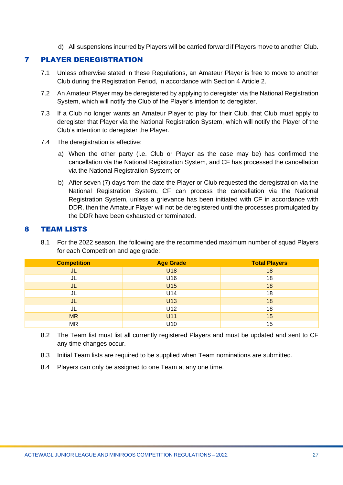d) All suspensions incurred by Players will be carried forward if Players move to another Club.

### <span id="page-26-0"></span>7 PLAYER DEREGISTRATION

- 7.1 Unless otherwise stated in these Regulations, an Amateur Player is free to move to another Club during the Registration Period, in accordance with Section 4 Article 2.
- 7.2 An Amateur Player may be deregistered by applying to deregister via the National Registration System, which will notify the Club of the Player's intention to deregister.
- 7.3 If a Club no longer wants an Amateur Player to play for their Club, that Club must apply to deregister that Player via the National Registration System, which will notify the Player of the Club's intention to deregister the Player.
- 7.4 The deregistration is effective:
	- a) When the other party (i.e. Club or Player as the case may be) has confirmed the cancellation via the National Registration System, and CF has processed the cancellation via the National Registration System; or
	- b) After seven (7) days from the date the Player or Club requested the deregistration via the National Registration System, CF can process the cancellation via the National Registration System, unless a grievance has been initiated with CF in accordance with DDR, then the Amateur Player will not be deregistered until the processes promulgated by the DDR have been exhausted or terminated.

#### <span id="page-26-1"></span>8 TEAM LISTS

8.1 For the 2022 season, the following are the recommended maximum number of squad Players for each Competition and age grade:

| <b>Competition</b> | <b>Age Grade</b> | <b>Total Players</b> |
|--------------------|------------------|----------------------|
| JL                 | <b>U18</b>       | 18                   |
| JL                 | U16              | 18                   |
| JL                 | U15              | 18                   |
| JL                 | U14              | 18                   |
| JL                 | U13              | 18                   |
| JL                 | U12              | 18                   |
| <b>MR</b>          | U11              | 15                   |
| <b>MR</b>          | U10              | 15                   |

- 8.2 The Team list must list all currently registered Players and must be updated and sent to CF any time changes occur.
- 8.3 Initial Team lists are required to be supplied when Team nominations are submitted.
- 8.4 Players can only be assigned to one Team at any one time.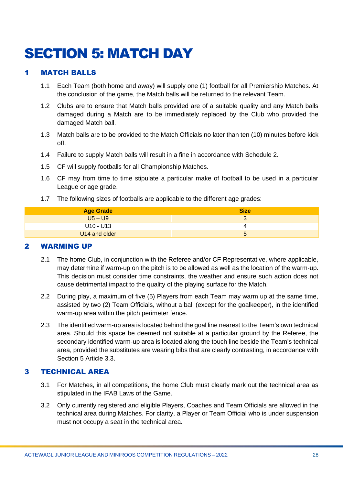# <span id="page-27-0"></span>SECTION 5: MATCH DAY

# <span id="page-27-1"></span>1 MATCH BALLS

- 1.1 Each Team (both home and away) will supply one (1) football for all Premiership Matches. At the conclusion of the game, the Match balls will be returned to the relevant Team.
- 1.2 Clubs are to ensure that Match balls provided are of a suitable quality and any Match balls damaged during a Match are to be immediately replaced by the Club who provided the damaged Match ball.
- 1.3 Match balls are to be provided to the Match Officials no later than ten (10) minutes before kick off.
- 1.4 Failure to supply Match balls will result in a fine in accordance with Schedule 2.
- 1.5 CF will supply footballs for all Championship Matches.
- 1.6 CF may from time to time stipulate a particular make of football to be used in a particular League or age grade.
- 1.7 The following sizes of footballs are applicable to the different age grades:

| <b>Age Grade</b> | <b>Size</b>              |
|------------------|--------------------------|
| $U5 - U9$        | $\overline{\phantom{0}}$ |
| U10 - U13        |                          |
| U14 and older    |                          |

#### <span id="page-27-2"></span>2 WARMING UP

- 2.1 The home Club, in conjunction with the Referee and/or CF Representative, where applicable, may determine if warm-up on the pitch is to be allowed as well as the location of the warm-up. This decision must consider time constraints, the weather and ensure such action does not cause detrimental impact to the quality of the playing surface for the Match.
- 2.2 During play, a maximum of five (5) Players from each Team may warm up at the same time, assisted by two (2) Team Officials, without a ball (except for the goalkeeper), in the identified warm-up area within the pitch perimeter fence.
- 2.3 The identified warm-up area is located behind the goal line nearest to the Team's own technical area. Should this space be deemed not suitable at a particular ground by the Referee, the secondary identified warm-up area is located along the touch line beside the Team's technical area, provided the substitutes are wearing bibs that are clearly contrasting, in accordance with Section 5 Article 3.3.

#### <span id="page-27-3"></span>3 TECHNICAL AREA

- 3.1 For Matches, in all competitions, the home Club must clearly mark out the technical area as stipulated in the IFAB Laws of the Game.
- 3.2 Only currently registered and eligible Players, Coaches and Team Officials are allowed in the technical area during Matches. For clarity, a Player or Team Official who is under suspension must not occupy a seat in the technical area.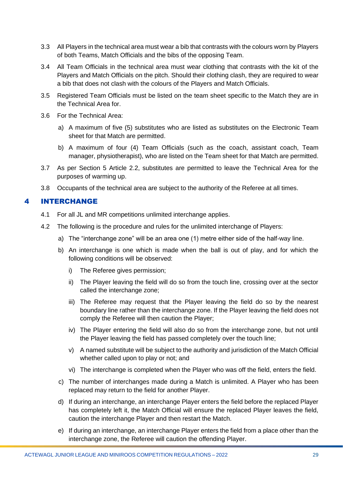- 3.3 All Players in the technical area must wear a bib that contrasts with the colours worn by Players of both Teams, Match Officials and the bibs of the opposing Team.
- 3.4 All Team Officials in the technical area must wear clothing that contrasts with the kit of the Players and Match Officials on the pitch. Should their clothing clash, they are required to wear a bib that does not clash with the colours of the Players and Match Officials.
- 3.5 Registered Team Officials must be listed on the team sheet specific to the Match they are in the Technical Area for.
- 3.6 For the Technical Area:
	- a) A maximum of five (5) substitutes who are listed as substitutes on the Electronic Team sheet for that Match are permitted.
	- b) A maximum of four (4) Team Officials (such as the coach, assistant coach, Team manager, physiotherapist), who are listed on the Team sheet for that Match are permitted.
- 3.7 As per Section 5 Article 2.2, substitutes are permitted to leave the Technical Area for the purposes of warming up.
- 3.8 Occupants of the technical area are subject to the authority of the Referee at all times.

# <span id="page-28-0"></span>4 INTERCHANGE

- 4.1 For all JL and MR competitions unlimited interchange applies.
- 4.2 The following is the procedure and rules for the unlimited interchange of Players:
	- a) The "interchange zone" will be an area one (1) metre either side of the half-way line.
	- b) An interchange is one which is made when the ball is out of play, and for which the following conditions will be observed:
		- i) The Referee gives permission;
		- ii) The Player leaving the field will do so from the touch line, crossing over at the sector called the interchange zone;
		- iii) The Referee may request that the Player leaving the field do so by the nearest boundary line rather than the interchange zone. If the Player leaving the field does not comply the Referee will then caution the Player;
		- iv) The Player entering the field will also do so from the interchange zone, but not until the Player leaving the field has passed completely over the touch line;
		- v) A named substitute will be subject to the authority and jurisdiction of the Match Official whether called upon to play or not; and
		- vi) The interchange is completed when the Player who was off the field, enters the field.
	- c) The number of interchanges made during a Match is unlimited. A Player who has been replaced may return to the field for another Player.
	- d) If during an interchange, an interchange Player enters the field before the replaced Player has completely left it, the Match Official will ensure the replaced Player leaves the field, caution the interchange Player and then restart the Match.
	- e) If during an interchange, an interchange Player enters the field from a place other than the interchange zone, the Referee will caution the offending Player.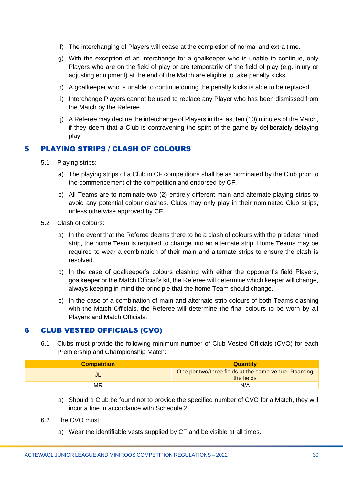- f) The interchanging of Players will cease at the completion of normal and extra time.
- g) With the exception of an interchange for a goalkeeper who is unable to continue, only Players who are on the field of play or are temporarily off the field of play (e.g. injury or adjusting equipment) at the end of the Match are eligible to take penalty kicks.
- h) A goalkeeper who is unable to continue during the penalty kicks is able to be replaced.
- i) Interchange Players cannot be used to replace any Player who has been dismissed from the Match by the Referee.
- j) A Referee may decline the interchange of Players in the last ten (10) minutes of the Match, if they deem that a Club is contravening the spirit of the game by deliberately delaying play.

# <span id="page-29-0"></span>5 PLAYING STRIPS / CLASH OF COLOURS

- 5.1 Playing strips:
	- a) The playing strips of a Club in CF competitions shall be as nominated by the Club prior to the commencement of the competition and endorsed by CF.
	- b) All Teams are to nominate two (2) entirely different main and alternate playing strips to avoid any potential colour clashes. Clubs may only play in their nominated Club strips, unless otherwise approved by CF.
- 5.2 Clash of colours:
	- a) In the event that the Referee deems there to be a clash of colours with the predetermined strip, the home Team is required to change into an alternate strip. Home Teams may be required to wear a combination of their main and alternate strips to ensure the clash is resolved.
	- b) In the case of goalkeeper's colours clashing with either the opponent's field Players, goalkeeper or the Match Official's kit, the Referee will determine which keeper will change, always keeping in mind the principle that the home Team should change.
	- c) In the case of a combination of main and alternate strip colours of both Teams clashing with the Match Officials, the Referee will determine the final colours to be worn by all Players and Match Officials.

#### <span id="page-29-1"></span>6 CLUB VESTED OFFICIALS (CVO)

6.1 Clubs must provide the following minimum number of Club Vested Officials (CVO) for each Premiership and Championship Match:

| <b>Competition</b> | <b>Quantity</b>                                                   |
|--------------------|-------------------------------------------------------------------|
| JL                 | One per two/three fields at the same venue. Roaming<br>the fields |
| MR                 | N/A                                                               |

- a) Should a Club be found not to provide the specified number of CVO for a Match, they will incur a fine in accordance with Schedule 2.
- 6.2 The CVO must:
	- a) Wear the identifiable vests supplied by CF and be visible at all times.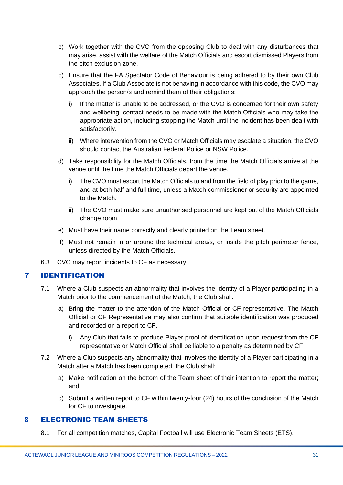- b) Work together with the CVO from the opposing Club to deal with any disturbances that may arise, assist with the welfare of the Match Officials and escort dismissed Players from the pitch exclusion zone.
- c) Ensure that the FA Spectator Code of Behaviour is being adhered to by their own Club Associates. If a Club Associate is not behaving in accordance with this code, the CVO may approach the person/s and remind them of their obligations:
	- i) If the matter is unable to be addressed, or the CVO is concerned for their own safety and wellbeing, contact needs to be made with the Match Officials who may take the appropriate action, including stopping the Match until the incident has been dealt with satisfactorily.
	- ii) Where intervention from the CVO or Match Officials may escalate a situation, the CVO should contact the Australian Federal Police or NSW Police.
- d) Take responsibility for the Match Officials, from the time the Match Officials arrive at the venue until the time the Match Officials depart the venue.
	- i) The CVO must escort the Match Officials to and from the field of play prior to the game, and at both half and full time, unless a Match commissioner or security are appointed to the Match.
	- ii) The CVO must make sure unauthorised personnel are kept out of the Match Officials change room.
- e) Must have their name correctly and clearly printed on the Team sheet.
- f) Must not remain in or around the technical area/s, or inside the pitch perimeter fence, unless directed by the Match Officials.
- 6.3 CVO may report incidents to CF as necessary.

#### <span id="page-30-0"></span>7 IDENTIFICATION

- 7.1 Where a Club suspects an abnormality that involves the identity of a Player participating in a Match prior to the commencement of the Match, the Club shall:
	- a) Bring the matter to the attention of the Match Official or CF representative. The Match Official or CF Representative may also confirm that suitable identification was produced and recorded on a report to CF.
		- i) Any Club that fails to produce Player proof of identification upon request from the CF representative or Match Official shall be liable to a penalty as determined by CF.
- 7.2 Where a Club suspects any abnormality that involves the identity of a Player participating in a Match after a Match has been completed, the Club shall:
	- a) Make notification on the bottom of the Team sheet of their intention to report the matter; and
	- b) Submit a written report to CF within twenty-four (24) hours of the conclusion of the Match for CF to investigate.

# <span id="page-30-1"></span>**8** ELECTRONIC TEAM SHEETS

8.1 For all competition matches, Capital Football will use Electronic Team Sheets (ETS).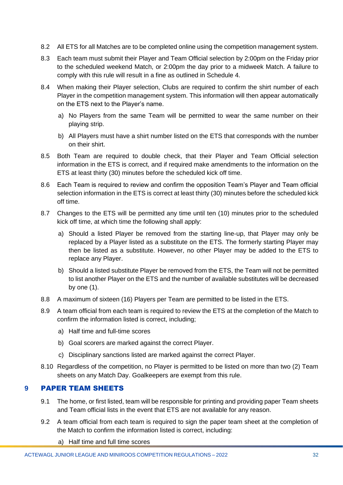- 8.2 All ETS for all Matches are to be completed online using the competition management system.
- 8.3 Each team must submit their Player and Team Official selection by 2:00pm on the Friday prior to the scheduled weekend Match, or 2:00pm the day prior to a midweek Match. A failure to comply with this rule will result in a fine as outlined in Schedule 4.
- 8.4 When making their Player selection, Clubs are required to confirm the shirt number of each Player in the competition management system. This information will then appear automatically on the ETS next to the Player's name.
	- a) No Players from the same Team will be permitted to wear the same number on their playing strip.
	- b) All Players must have a shirt number listed on the ETS that corresponds with the number on their shirt.
- 8.5 Both Team are required to double check, that their Player and Team Official selection information in the ETS is correct, and if required make amendments to the information on the ETS at least thirty (30) minutes before the scheduled kick off time.
- 8.6 Each Team is required to review and confirm the opposition Team's Player and Team official selection information in the ETS is correct at least thirty (30) minutes before the scheduled kick off time.
- 8.7 Changes to the ETS will be permitted any time until ten (10) minutes prior to the scheduled kick off time, at which time the following shall apply:
	- a) Should a listed Player be removed from the starting line-up, that Player may only be replaced by a Player listed as a substitute on the ETS. The formerly starting Player may then be listed as a substitute. However, no other Player may be added to the ETS to replace any Player.
	- b) Should a listed substitute Player be removed from the ETS, the Team will not be permitted to list another Player on the ETS and the number of available substitutes will be decreased by one (1).
- 8.8 A maximum of sixteen (16) Players per Team are permitted to be listed in the ETS.
- 8.9 A team official from each team is required to review the ETS at the completion of the Match to confirm the information listed is correct, including;
	- a) Half time and full-time scores
	- b) Goal scorers are marked against the correct Player.
	- c) Disciplinary sanctions listed are marked against the correct Player.
- 8.10 Regardless of the competition, no Player is permitted to be listed on more than two (2) Team sheets on any Match Day. Goalkeepers are exempt from this rule.

#### <span id="page-31-0"></span>**9** PAPER TEAM SHEETS

- 9.1 The home, or first listed, team will be responsible for printing and providing paper Team sheets and Team official lists in the event that ETS are not available for any reason.
- 9.2 A team official from each team is required to sign the paper team sheet at the completion of the Match to confirm the information listed is correct, including:
	- a) Half time and full time scores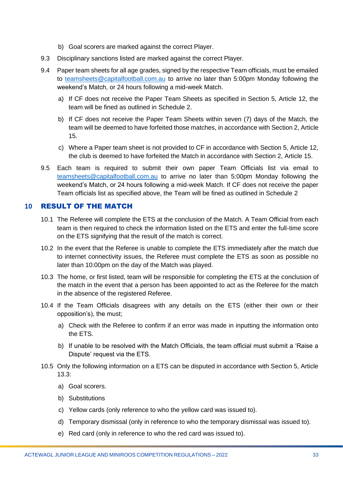- b) Goal scorers are marked against the correct Player.
- 9.3 Disciplinary sanctions listed are marked against the correct Player.
- 9.4 Paper team sheets for all age grades, signed by the respective Team officials, must be emailed to [teamsheets@capitalfootball.com.au](mailto:teamsheets@capitalfootball.com.au) to arrive no later than 5:00pm Monday following the weekend's Match, or 24 hours following a mid-week Match.
	- a) If CF does not receive the Paper Team Sheets as specified in Section 5, Article 12, the team will be fined as outlined in Schedule 2.
	- b) If CF does not receive the Paper Team Sheets within seven (7) days of the Match, the team will be deemed to have forfeited those matches, in accordance with Section 2, Article 15.
	- c) Where a Paper team sheet is not provided to CF in accordance with Section 5, Article 12, the club is deemed to have forfeited the Match in accordance with Section 2, Article 15.
- 9.5 Each team is required to submit their own paper Team Officials list via email to [teamsheets@capitalfootball.com.au](mailto:teamsheets@capitalfootball.com.au) to arrive no later than 5:00pm Monday following the weekend's Match, or 24 hours following a mid-week Match. If CF does not receive the paper Team officials list as specified above, the Team will be fined as outlined in Schedule 2

#### <span id="page-32-0"></span>**10** RESULT OF THE MATCH

- 10.1 The Referee will complete the ETS at the conclusion of the Match. A Team Official from each team is then required to check the information listed on the ETS and enter the full-time score on the ETS signifying that the result of the match is correct.
- 10.2 In the event that the Referee is unable to complete the ETS immediately after the match due to internet connectivity issues, the Referee must complete the ETS as soon as possible no later than 10:00pm on the day of the Match was played.
- 10.3 The home, or first listed, team will be responsible for completing the ETS at the conclusion of the match in the event that a person has been appointed to act as the Referee for the match in the absence of the registered Referee.
- 10.4 If the Team Officials disagrees with any details on the ETS (either their own or their opposition's), the must;
	- a) Check with the Referee to confirm if an error was made in inputting the information onto the ETS.
	- b) If unable to be resolved with the Match Officials, the team official must submit a 'Raise a Dispute' request via the ETS.
- 10.5 Only the following information on a ETS can be disputed in accordance with Section 5, Article 13.3:
	- a) Goal scorers.
	- b) Substitutions
	- c) Yellow cards (only reference to who the yellow card was issued to).
	- d) Temporary dismissal (only in reference to who the temporary dismissal was issued to).
	- e) Red card (only in reference to who the red card was issued to).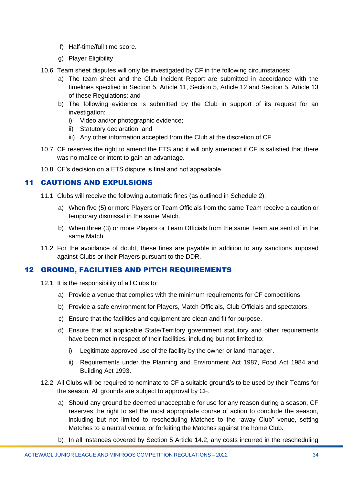- f) Half-time/full time score.
- g) Player Eligibility
- 10.6 Team sheet disputes will only be investigated by CF in the following circumstances:
	- a) The team sheet and the Club Incident Report are submitted in accordance with the timelines specified in Section 5, Article 11, Section 5, Article 12 and Section 5, Article 13 of these Regulations; and
	- b) The following evidence is submitted by the Club in support of its request for an investigation:
		- i) Video and/or photographic evidence;
		- ii) Statutory declaration; and
		- iii) Any other information accepted from the Club at the discretion of CF
- 10.7 CF reserves the right to amend the ETS and it will only amended if CF is satisfied that there was no malice or intent to gain an advantage.
- 10.8 CF's decision on a ETS dispute is final and not appealable

# <span id="page-33-0"></span><sup>11</sup> CAUTIONS AND EXPULSIONS

- 11.1 Clubs will receive the following automatic fines (as outlined in Schedule 2):
	- a) When five (5) or more Players or Team Officials from the same Team receive a caution or temporary dismissal in the same Match.
	- b) When three (3) or more Players or Team Officials from the same Team are sent off in the same Match.
- 11.2 For the avoidance of doubt, these fines are payable in addition to any sanctions imposed against Clubs or their Players pursuant to the DDR.

# <span id="page-33-1"></span>12 GROUND, FACILITIES AND PITCH REQUIREMENTS

- 12.1 It is the responsibility of all Clubs to:
	- a) Provide a venue that complies with the minimum requirements for CF competitions.
	- b) Provide a safe environment for Players, Match Officials, Club Officials and spectators.
	- c) Ensure that the facilities and equipment are clean and fit for purpose.
	- d) Ensure that all applicable State/Territory government statutory and other requirements have been met in respect of their facilities, including but not limited to:
		- i) Legitimate approved use of the facility by the owner or land manager.
		- ii) Requirements under the Planning and Environment Act 1987, Food Act 1984 and Building Act 1993.
- 12.2 All Clubs will be required to nominate to CF a suitable ground/s to be used by their Teams for the season. All grounds are subject to approval by CF.
	- a) Should any ground be deemed unacceptable for use for any reason during a season, CF reserves the right to set the most appropriate course of action to conclude the season, including but not limited to rescheduling Matches to the "away Club" venue, setting Matches to a neutral venue, or forfeiting the Matches against the home Club.
	- b) In all instances covered by Section 5 Article 14.2, any costs incurred in the rescheduling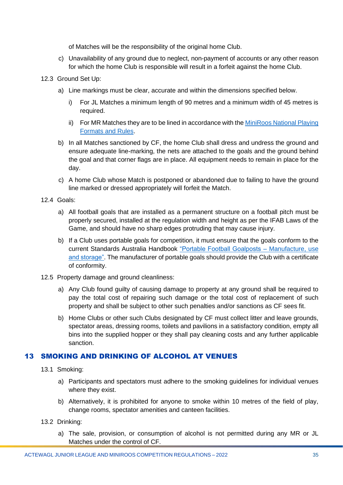of Matches will be the responsibility of the original home Club.

- c) Unavailability of any ground due to neglect, non-payment of accounts or any other reason for which the home Club is responsible will result in a forfeit against the home Club.
- 12.3 Ground Set Up:
	- a) Line markings must be clear, accurate and within the dimensions specified below.
		- i) For JL Matches a minimum length of 90 metres and a minimum width of 45 metres is required.
		- ii) For MR Matches they are to be lined in accordance with the MiniRoos National Playing [Formats and Rules.](https://www.playfootball.com.au/sites/play/files/2020-01/Playing-Formats-and-Rules.pdf)
	- b) In all Matches sanctioned by CF, the home Club shall dress and undress the ground and ensure adequate line-marking, the nets are attached to the goals and the ground behind the goal and that corner flags are in place. All equipment needs to remain in place for the day.
	- c) A home Club whose Match is postponed or abandoned due to failing to have the ground line marked or dressed appropriately will forfeit the Match.
- 12.4 Goals:
	- a) All football goals that are installed as a permanent structure on a football pitch must be properly secured, installed at the regulation width and height as per the IFAB Laws of the Game, and should have no sharp edges protruding that may cause injury.
	- b) If a Club uses portable goals for competition, it must ensure that the goals conform to the current Standards Australia Handbook ["Portable Football Goalposts –](https://www.saiglobal.com/PDFTemp/CustomizedDownload/hb227-2003.pdf) Manufacture, use [and storage".](https://www.saiglobal.com/PDFTemp/CustomizedDownload/hb227-2003.pdf) The manufacturer of portable goals should provide the Club with a certificate of conformity.
- 12.5 Property damage and ground cleanliness:
	- a) Any Club found guilty of causing damage to property at any ground shall be required to pay the total cost of repairing such damage or the total cost of replacement of such property and shall be subject to other such penalties and/or sanctions as CF sees fit.
	- b) Home Clubs or other such Clubs designated by CF must collect litter and leave grounds, spectator areas, dressing rooms, toilets and pavilions in a satisfactory condition, empty all bins into the supplied hopper or they shall pay cleaning costs and any further applicable sanction.

# <span id="page-34-0"></span>13 SMOKING AND DRINKING OF ALCOHOL AT VENUES

- 13.1 Smoking:
	- a) Participants and spectators must adhere to the smoking guidelines for individual venues where they exist.
	- b) Alternatively, it is prohibited for anyone to smoke within 10 metres of the field of play, change rooms, spectator amenities and canteen facilities.
- 13.2 Drinking:
	- a) The sale, provision, or consumption of alcohol is not permitted during any MR or JL Matches under the control of CF.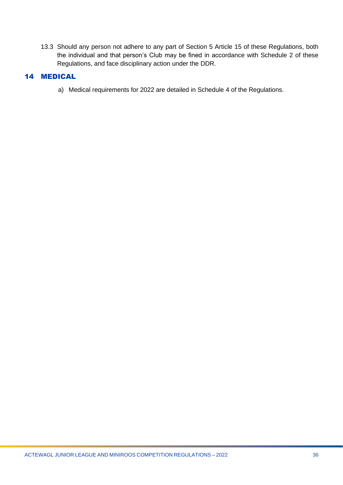13.3 Should any person not adhere to any part of Section 5 Article 15 of these Regulations, both the individual and that person's Club may be fined in accordance with Schedule 2 of these Regulations, and face disciplinary action under the DDR.

#### <span id="page-35-0"></span>14 MEDICAL

a) Medical requirements for 2022 are detailed in Schedule 4 of the Regulations.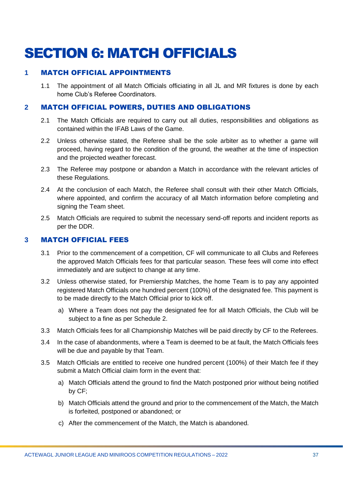# <span id="page-36-0"></span>SECTION 6: MATCH OFFICIALS

# <span id="page-36-1"></span>**1** MATCH OFFICIAL APPOINTMENTS

1.1 The appointment of all Match Officials officiating in all JL and MR fixtures is done by each home Club's Referee Coordinators.

# <span id="page-36-2"></span>**2** MATCH OFFICIAL POWERS, DUTIES AND OBLIGATIONS

- 2.1 The Match Officials are required to carry out all duties, responsibilities and obligations as contained within the IFAB Laws of the Game.
- 2.2 Unless otherwise stated, the Referee shall be the sole arbiter as to whether a game will proceed, having regard to the condition of the ground, the weather at the time of inspection and the projected weather forecast.
- 2.3 The Referee may postpone or abandon a Match in accordance with the relevant articles of these Regulations.
- 2.4 At the conclusion of each Match, the Referee shall consult with their other Match Officials, where appointed, and confirm the accuracy of all Match information before completing and signing the Team sheet.
- 2.5 Match Officials are required to submit the necessary send-off reports and incident reports as per the DDR.

#### <span id="page-36-3"></span>**3** MATCH OFFICIAL FEES

- 3.1 Prior to the commencement of a competition, CF will communicate to all Clubs and Referees the approved Match Officials fees for that particular season. These fees will come into effect immediately and are subject to change at any time.
- 3.2 Unless otherwise stated, for Premiership Matches, the home Team is to pay any appointed registered Match Officials one hundred percent (100%) of the designated fee. This payment is to be made directly to the Match Official prior to kick off.
	- a) Where a Team does not pay the designated fee for all Match Officials, the Club will be subject to a fine as per Schedule 2.
- 3.3 Match Officials fees for all Championship Matches will be paid directly by CF to the Referees.
- 3.4 In the case of abandonments, where a Team is deemed to be at fault, the Match Officials fees will be due and payable by that Team.
- 3.5 Match Officials are entitled to receive one hundred percent (100%) of their Match fee if they submit a Match Official claim form in the event that:
	- a) Match Officials attend the ground to find the Match postponed prior without being notified by CF;
	- b) Match Officials attend the ground and prior to the commencement of the Match, the Match is forfeited, postponed or abandoned; or
	- c) After the commencement of the Match, the Match is abandoned.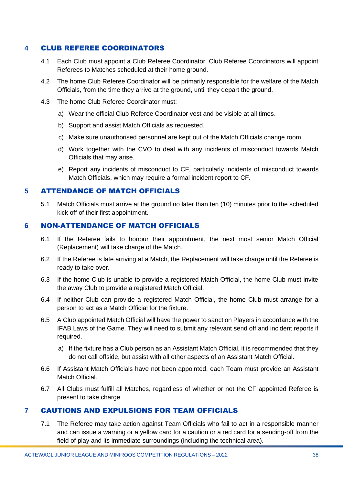# <span id="page-37-0"></span>**4** CLUB REFEREE COORDINATORS

- 4.1 Each Club must appoint a Club Referee Coordinator. Club Referee Coordinators will appoint Referees to Matches scheduled at their home ground.
- 4.2 The home Club Referee Coordinator will be primarily responsible for the welfare of the Match Officials, from the time they arrive at the ground, until they depart the ground.
- 4.3 The home Club Referee Coordinator must:
	- a) Wear the official Club Referee Coordinator vest and be visible at all times.
	- b) Support and assist Match Officials as requested.
	- c) Make sure unauthorised personnel are kept out of the Match Officials change room.
	- d) Work together with the CVO to deal with any incidents of misconduct towards Match Officials that may arise.
	- e) Report any incidents of misconduct to CF, particularly incidents of misconduct towards Match Officials, which may require a formal incident report to CF.

#### <span id="page-37-1"></span>**5** ATTENDANCE OF MATCH OFFICIALS

5.1 Match Officials must arrive at the ground no later than ten (10) minutes prior to the scheduled kick off of their first appointment.

#### <span id="page-37-2"></span>**6** NON-ATTENDANCE OF MATCH OFFICIALS

- 6.1 If the Referee fails to honour their appointment, the next most senior Match Official (Replacement) will take charge of the Match.
- 6.2 If the Referee is late arriving at a Match, the Replacement will take charge until the Referee is ready to take over.
- 6.3 If the home Club is unable to provide a registered Match Official, the home Club must invite the away Club to provide a registered Match Official.
- 6.4 If neither Club can provide a registered Match Official, the home Club must arrange for a person to act as a Match Official for the fixture.
- 6.5 A Club appointed Match Official will have the power to sanction Players in accordance with the IFAB Laws of the Game. They will need to submit any relevant send off and incident reports if required.
	- a) If the fixture has a Club person as an Assistant Match Official, it is recommended that they do not call offside, but assist with all other aspects of an Assistant Match Official.
- 6.6 If Assistant Match Officials have not been appointed, each Team must provide an Assistant Match Official.
- 6.7 All Clubs must fulfill all Matches, regardless of whether or not the CF appointed Referee is present to take charge.

# <span id="page-37-3"></span>**7** CAUTIONS AND EXPULSIONS FOR TEAM OFFICIALS

7.1 The Referee may take action against Team Officials who fail to act in a responsible manner and can issue a warning or a yellow card for a caution or a red card for a sending-off from the field of play and its immediate surroundings (including the technical area).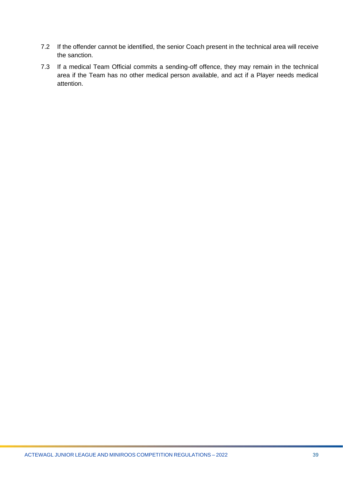- 7.2 If the offender cannot be identified, the senior Coach present in the technical area will receive the sanction.
- 7.3 If a medical Team Official commits a sending-off offence, they may remain in the technical area if the Team has no other medical person available, and act if a Player needs medical attention.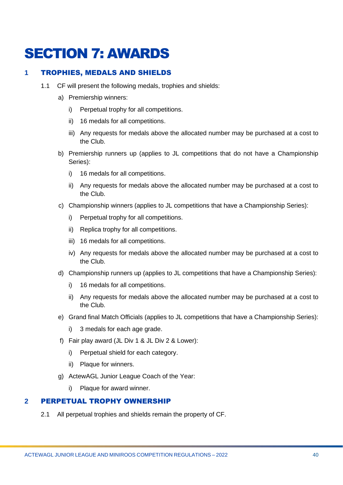# <span id="page-39-0"></span>SECTION 7: AWARDS

# <span id="page-39-1"></span>**1** TROPHIES, MEDALS AND SHIELDS

- 1.1 CF will present the following medals, trophies and shields:
	- a) Premiership winners:
		- i) Perpetual trophy for all competitions.
		- ii) 16 medals for all competitions.
		- iii) Any requests for medals above the allocated number may be purchased at a cost to the Club.
	- b) Premiership runners up (applies to JL competitions that do not have a Championship Series):
		- i) 16 medals for all competitions.
		- ii) Any requests for medals above the allocated number may be purchased at a cost to the Club.
	- c) Championship winners (applies to JL competitions that have a Championship Series):
		- i) Perpetual trophy for all competitions.
		- ii) Replica trophy for all competitions.
		- iii) 16 medals for all competitions.
		- iv) Any requests for medals above the allocated number may be purchased at a cost to the Club.
	- d) Championship runners up (applies to JL competitions that have a Championship Series):
		- i) 16 medals for all competitions.
		- ii) Any requests for medals above the allocated number may be purchased at a cost to the Club.
	- e) Grand final Match Officials (applies to JL competitions that have a Championship Series):
		- i) 3 medals for each age grade.
	- f) Fair play award (JL Div 1 & JL Div 2 & Lower):
		- i) Perpetual shield for each category.
		- ii) Plaque for winners.
	- g) ActewAGL Junior League Coach of the Year:
		- i) Plaque for award winner.

#### <span id="page-39-2"></span>**2** PERPETUAL TROPHY OWNERSHIP

2.1 All perpetual trophies and shields remain the property of CF.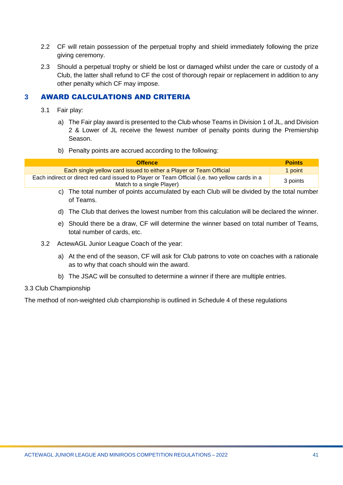- 2.2 CF will retain possession of the perpetual trophy and shield immediately following the prize giving ceremony.
- 2.3 Should a perpetual trophy or shield be lost or damaged whilst under the care or custody of a Club, the latter shall refund to CF the cost of thorough repair or replacement in addition to any other penalty which CF may impose.

# <span id="page-40-0"></span>**3** AWARD CALCULATIONS AND CRITERIA

- 3.1 Fair play:
	- a) The Fair play award is presented to the Club whose Teams in Division 1 of JL, and Division 2 & Lower of JL receive the fewest number of penalty points during the Premiership Season.
	- b) Penalty points are accrued according to the following:

| <b>Offence</b>                                                                                                              | <b>Points</b> |
|-----------------------------------------------------------------------------------------------------------------------------|---------------|
| Each single yellow card issued to either a Player or Team Official                                                          | 1 point       |
| Each indirect or direct red card issued to Player or Team Official (i.e. two yellow cards in a<br>Match to a single Player) | 3 points      |

- c) The total number of points accumulated by each Club will be divided by the total number of Teams.
- d) The Club that derives the lowest number from this calculation will be declared the winner.
- e) Should there be a draw, CF will determine the winner based on total number of Teams, total number of cards, etc.
- 3.2 ActewAGL Junior League Coach of the year:
	- a) At the end of the season, CF will ask for Club patrons to vote on coaches with a rationale as to why that coach should win the award.
	- b) The JSAC will be consulted to determine a winner if there are multiple entries.

#### 3.3 Club Championship

The method of non-weighted club championship is outlined in Schedule 4 of these regulations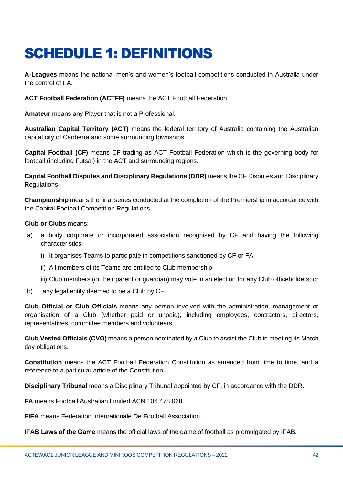# <span id="page-41-0"></span>SCHEDULE 1: DEFINITIONS

**A-Leagues** means the national men's and women's football competitions conducted in Australia under the control of FA.

**ACT Football Federation (ACTFF)** means the ACT Football Federation.

**Amateur** means any Player that is not a Professional.

**Australian Capital Territory (ACT)** means the federal territory of Australia containing the Australian capital city of Canberra and some surrounding townships.

**Capital Football (CF)** means CF trading as ACT Football Federation which is the governing body for football (including Futsal) in the ACT and surrounding regions.

**Capital Football Disputes and Disciplinary Regulations (DDR)** means the CF Disputes and Disciplinary Regulations.

**Championship** means the final series conducted at the completion of the Premiership in accordance with the Capital Football Competition Regulations.

#### **Club or Clubs** means:

- a) a body corporate or incorporated association recognised by CF and having the following characteristics:
	- i) It organises Teams to participate in competitions sanctioned by CF or FA;
	- ii) All members of its Teams are entitled to Club membership;
	- iii) Club members (or their parent or guardian) may vote in an election for any Club officeholders; or
- b) any legal entity deemed to be a Club by CF.

**Club Official or Club Officials** means any person involved with the administration, management or organisation of a Club (whether paid or unpaid), including employees, contractors, directors, representatives, committee members and volunteers.

**Club Vested Officials (CVO)** means a person nominated by a Club to assist the Club in meeting its Match day obligations.

**Constitution** means the ACT Football Federation Constitution as amended from time to time, and a reference to a particular article of the Constitution.

**Disciplinary Tribunal** means a Disciplinary Tribunal appointed by CF, in accordance with the DDR.

**FA** means Football Australian Limited ACN 106 478 068.

**FIFA** means Federation Internationale De Football Association.

**IFAB Laws of the Game** means the official laws of the game of football as promulgated by IFAB.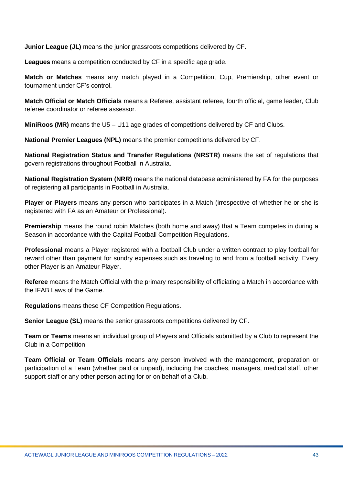**Junior League (JL)** means the junior grassroots competitions delivered by CF.

**Leagues** means a competition conducted by CF in a specific age grade.

**Match or Matches** means any match played in a Competition, Cup, Premiership, other event or tournament under CF's control.

**Match Official or Match Officials** means a Referee, assistant referee, fourth official, game leader, Club referee coordinator or referee assessor.

**MiniRoos (MR)** means the U5 – U11 age grades of competitions delivered by CF and Clubs.

**National Premier Leagues (NPL)** means the premier competitions delivered by CF.

**National Registration Status and Transfer Regulations (NRSTR)** means the set of regulations that govern registrations throughout Football in Australia.

**National Registration System (NRR)** means the national database administered by FA for the purposes of registering all participants in Football in Australia.

**Player or Players** means any person who participates in a Match (irrespective of whether he or she is registered with FA as an Amateur or Professional).

**Premiership** means the round robin Matches (both home and away) that a Team competes in during a Season in accordance with the Capital Football Competition Regulations.

**Professional** means a Player registered with a football Club under a written contract to play football for reward other than payment for sundry expenses such as traveling to and from a football activity. Every other Player is an Amateur Player.

**Referee** means the Match Official with the primary responsibility of officiating a Match in accordance with the IFAB Laws of the Game.

**Regulations** means these CF Competition Regulations.

**Senior League (SL)** means the senior grassroots competitions delivered by CF.

**Team or Teams** means an individual group of Players and Officials submitted by a Club to represent the Club in a Competition.

**Team Official or Team Officials** means any person involved with the management, preparation or participation of a Team (whether paid or unpaid), including the coaches, managers, medical staff, other support staff or any other person acting for or on behalf of a Club.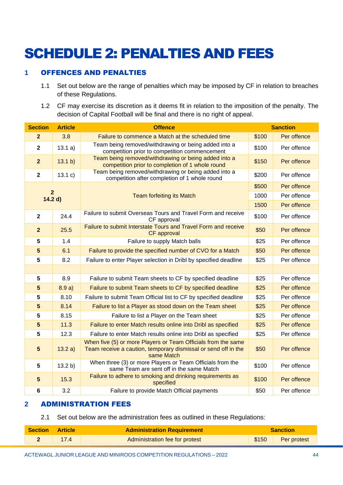# <span id="page-43-0"></span>SCHEDULE 2: PENALTIES AND FEES

# <span id="page-43-1"></span>**1** OFFENCES AND PENALTIES

- 1.1 Set out below are the range of penalties which may be imposed by CF in relation to breaches of these Regulations.
- 1.2 CF may exercise its discretion as it deems fit in relation to the imposition of the penalty. The decision of Capital Football will be final and there is no right of appeal.

| <b>Section</b>            | <b>Article</b> | <b>Offence</b>                                                                                                                                |       | <b>Sanction</b> |  |
|---------------------------|----------------|-----------------------------------------------------------------------------------------------------------------------------------------------|-------|-----------------|--|
| $\overline{2}$            | 3.8            | Failure to commence a Match at the scheduled time                                                                                             |       | Per offence     |  |
| $\overline{\mathbf{2}}$   | 13.1 a)        | Team being removed/withdrawing or being added into a<br>competition prior to competition commencement                                         | \$100 | Per offence     |  |
| $\overline{2}$            | 13.1 b)        | Team being removed/withdrawing or being added into a<br>competition prior to completion of 1 whole round                                      | \$150 | Per offence     |  |
| $\mathbf{2}$              | 13.1 c)        | Team being removed/withdrawing or being added into a<br>competition after completion of 1 whole round                                         | \$200 | Per offence     |  |
|                           |                |                                                                                                                                               | \$500 | Per offence     |  |
| $\overline{2}$<br>14.2 d) |                | <b>Team forfeiting its Match</b>                                                                                                              | 1000  | Per offence     |  |
|                           |                |                                                                                                                                               | 1500  | Per offence     |  |
| $\mathbf{2}$              | 24.4           | Failure to submit Overseas Tours and Travel Form and receive<br>CF approval                                                                   | \$100 | Per offence     |  |
| $\overline{2}$            | 25.5           | Failure to submit Interstate Tours and Travel Form and receive<br>CF approval                                                                 | \$50  | Per offence     |  |
| 5                         | 1.4            | Failure to supply Match balls                                                                                                                 | \$25  | Per offence     |  |
| $5\phantom{1}$            | 6.1            | Failure to provide the specified number of CVO for a Match                                                                                    | \$50  | Per offence     |  |
| 5                         | 8.2            | Failure to enter Player selection in Dribl by specified deadline                                                                              |       | Per offence     |  |
|                           |                |                                                                                                                                               |       |                 |  |
| $5\phantom{1}$            | 8.9            | Failure to submit Team sheets to CF by specified deadline                                                                                     |       | Per offence     |  |
| $5\phantom{1}$            | 8.9a)          | Failure to submit Team sheets to CF by specified deadline<br>\$25                                                                             |       | Per offence     |  |
| 5                         | 8.10           | Failure to submit Team Official list to CF by specified deadline                                                                              |       | Per offence     |  |
| 5                         | 8.14           | Failure to list a Player as stood down on the Team sheet                                                                                      | \$25  | Per offence     |  |
| $5\phantom{.0}$           | 8.15           | Failure to list a Player on the Team sheet                                                                                                    | \$25  | Per offence     |  |
| $5\phantom{1}$            | 11.3           | Failure to enter Match results online into Dribl as specified                                                                                 | \$25  | Per offence     |  |
| $5\phantom{1}$            | 12.3           | Failure to enter Match results online into Dribl as specified                                                                                 | \$25  | Per offence     |  |
| $5\phantom{1}$            | 13.2 a)        | When five (5) or more Players or Team Officials from the same<br>Team receive a caution, temporary dismissal or send off in the<br>same Match | \$50  | Per offence     |  |
| $5\phantom{1}$            | 13.2 b)        | When three (3) or more Players or Team Officials from the<br>same Team are sent off in the same Match                                         | \$100 | Per offence     |  |
| $5\phantom{1}$            | 15.3           | Failure to adhere to smoking and drinking requirements as<br>specified                                                                        | \$100 | Per offence     |  |
| $6\phantom{1}$            | 3.2            | Failure to provide Match Official payments                                                                                                    | \$50  | Per offence     |  |

# <span id="page-43-2"></span>**2** ADMINISTRATION FEES

2.1 Set out below are the administration fees as outlined in these Regulations:

| <b>Section</b> | <b>Article</b> | <b>Administration Requirement</b> | Sanction |                   |
|----------------|----------------|-----------------------------------|----------|-------------------|
|                |                | Administration fee for protest    |          | \$150 Per protest |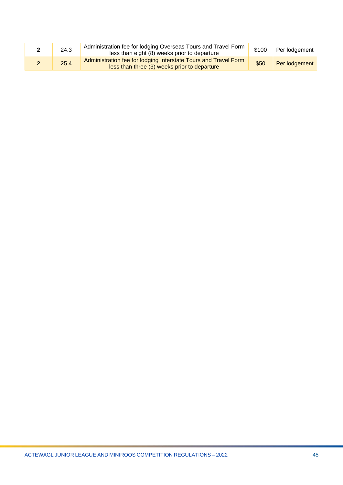| 24.3 | Administration fee for lodging Overseas Tours and Travel Form<br>less than eight (8) weeks prior to departure   | \$100 | Per lodgement |
|------|-----------------------------------------------------------------------------------------------------------------|-------|---------------|
| 25.4 | Administration fee for lodging Interstate Tours and Travel Form<br>less than three (3) weeks prior to departure | \$50  | Per lodgement |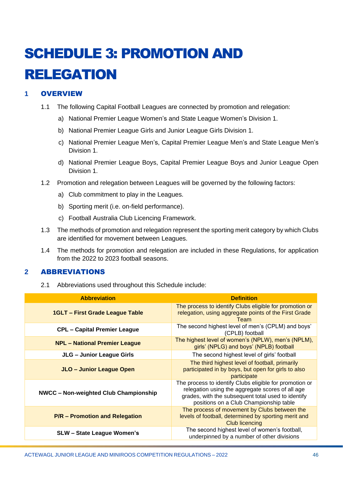# <span id="page-45-0"></span>SCHEDULE 3: PROMOTION AND RELEGATION

# <span id="page-45-1"></span>**1** OVERVIEW

- 1.1 The following Capital Football Leagues are connected by promotion and relegation:
	- a) National Premier League Women's and State League Women's Division 1.
	- b) National Premier League Girls and Junior League Girls Division 1.
	- c) National Premier League Men's, Capital Premier League Men's and State League Men's Division 1.
	- d) National Premier League Boys, Capital Premier League Boys and Junior League Open Division 1.
- 1.2 Promotion and relegation between Leagues will be governed by the following factors:
	- a) Club commitment to play in the Leagues.
	- b) Sporting merit (i.e. on-field performance).
	- c) Football Australia Club Licencing Framework.
- 1.3 The methods of promotion and relegation represent the sporting merit category by which Clubs are identified for movement between Leagues.
- 1.4 The methods for promotion and relegation are included in these Regulations, for application from the 2022 to 2023 football seasons.

# <span id="page-45-2"></span>**2** ABBREVIATIONS

2.1 Abbreviations used throughout this Schedule include:

| <b>Abbreviation</b>                          | <b>Definition</b>                                                                                                                                                                                           |
|----------------------------------------------|-------------------------------------------------------------------------------------------------------------------------------------------------------------------------------------------------------------|
| <b>1GLT - First Grade League Table</b>       | The process to identify Clubs eligible for promotion or<br>relegation, using aggregate points of the First Grade<br>Team                                                                                    |
| <b>CPL - Capital Premier League</b>          | The second highest level of men's (CPLM) and boys'<br>(CPLB) football                                                                                                                                       |
| <b>NPL - National Premier League</b>         | The highest level of women's (NPLW), men's (NPLM),<br>girls' (NPLG) and boys' (NPLB) football                                                                                                               |
| JLG - Junior League Girls                    | The second highest level of girls' football                                                                                                                                                                 |
| JLO - Junior League Open                     | The third highest level of football, primarily<br>participated in by boys, but open for girls to also<br>participate                                                                                        |
| <b>NWCC - Non-weighted Club Championship</b> | The process to identify Clubs eligible for promotion or<br>relegation using the aggregate scores of all age<br>grades, with the subsequent total used to identify<br>positions on a Club Championship table |
| <b>P/R - Promotion and Relegation</b>        | The process of movement by Clubs between the<br>levels of football, determined by sporting merit and<br><b>Club licencing</b>                                                                               |
| <b>SLW - State League Women's</b>            | The second highest level of women's football,<br>underpinned by a number of other divisions                                                                                                                 |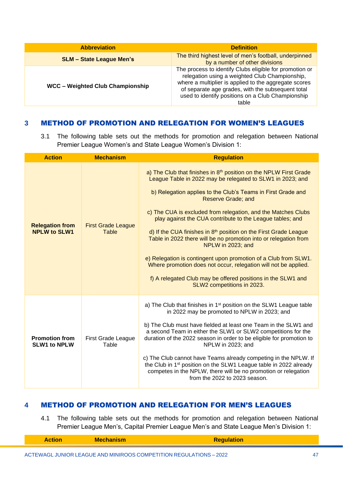| <b>Abbreviation</b>                     | <b>Definition</b>                                                                                                                                                                                                                                                                     |
|-----------------------------------------|---------------------------------------------------------------------------------------------------------------------------------------------------------------------------------------------------------------------------------------------------------------------------------------|
| <b>SLM - State League Men's</b>         | The third highest level of men's football, underpinned<br>by a number of other divisions                                                                                                                                                                                              |
| <b>WCC - Weighted Club Championship</b> | The process to identify Clubs eligible for promotion or<br>relegation using a weighted Club Championship,<br>where a multiplier is applied to the aggregate scores<br>of separate age grades, with the subsequent total<br>used to identify positions on a Club Championship<br>table |

#### <span id="page-46-0"></span>**3** METHOD OF PROMOTION AND RELEGATION FOR WOMEN'S LEAGUES

3.1 The following table sets out the methods for promotion and relegation between National Premier League Women's and State League Women's Division 1:

| <b>Action</b>                                 | <b>Mechanism</b>                          | <b>Regulation</b>                                                                                                                                                                                                                                                                                                                                                                                                                                                                                                                                                                                                                                                                                                                                                       |
|-----------------------------------------------|-------------------------------------------|-------------------------------------------------------------------------------------------------------------------------------------------------------------------------------------------------------------------------------------------------------------------------------------------------------------------------------------------------------------------------------------------------------------------------------------------------------------------------------------------------------------------------------------------------------------------------------------------------------------------------------------------------------------------------------------------------------------------------------------------------------------------------|
| <b>Relegation from</b><br><b>NPLW to SLW1</b> | <b>First Grade League</b><br><b>Table</b> | a) The Club that finishes in 8th position on the NPLW First Grade<br>League Table in 2022 may be relegated to SLW1 in 2023; and<br>b) Relegation applies to the Club's Teams in First Grade and<br><b>Reserve Grade; and</b><br>c) The CUA is excluded from relegation, and the Matches Clubs<br>play against the CUA contribute to the League tables; and<br>d) If the CUA finishes in 8 <sup>th</sup> position on the First Grade League<br>Table in 2022 there will be no promotion into or relegation from<br>NPLW in 2023; and<br>e) Relegation is contingent upon promotion of a Club from SLW1.<br>Where promotion does not occur, relegation will not be applied.<br>f) A relegated Club may be offered positions in the SLW1 and<br>SLW2 competitions in 2023. |
| <b>Promotion from</b><br><b>SLW1 to NPLW</b>  | <b>First Grade League</b><br>Table        | a) The Club that finishes in 1 <sup>st</sup> position on the SLW1 League table<br>in 2022 may be promoted to NPLW in 2023; and<br>b) The Club must have fielded at least one Team in the SLW1 and<br>a second Team in either the SLW1 or SLW2 competitions for the<br>duration of the 2022 season in order to be eligible for promotion to<br>NPLW in 2023; and<br>c) The Club cannot have Teams already competing in the NPLW. If<br>the Club in 1 <sup>st</sup> position on the SLW1 League table in 2022 already<br>competes in the NPLW, there will be no promotion or relegation<br>from the 2022 to 2023 season.                                                                                                                                                  |

#### <span id="page-46-1"></span>**4** METHOD OF PROMOTION AND RELEGATION FOR MEN'S LEAGUES

4.1 The following table sets out the methods for promotion and relegation between National Premier League Men's, Capital Premier League Men's and State League Men's Division 1: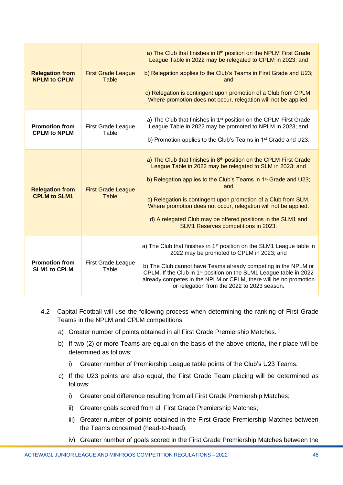| <b>Relegation from</b><br><b>NPLM to CPLM</b> | <b>First Grade League</b><br>Table        | a) The Club that finishes in 8 <sup>th</sup> position on the NPLM First Grade<br>League Table in 2022 may be relegated to CPLM in 2023; and<br>b) Relegation applies to the Club's Teams in First Grade and U23;<br>and<br>c) Relegation is contingent upon promotion of a Club from CPLM.<br>Where promotion does not occur, relegation will not be applied.                                                                                                                |
|-----------------------------------------------|-------------------------------------------|------------------------------------------------------------------------------------------------------------------------------------------------------------------------------------------------------------------------------------------------------------------------------------------------------------------------------------------------------------------------------------------------------------------------------------------------------------------------------|
| <b>Promotion from</b><br><b>CPLM to NPLM</b>  | <b>First Grade League</b><br>Table        | a) The Club that finishes in 1 <sup>st</sup> position on the CPLM First Grade<br>League Table in 2022 may be promoted to NPLM in 2023; and<br>b) Promotion applies to the Club's Teams in 1 <sup>st</sup> Grade and U23.                                                                                                                                                                                                                                                     |
| <b>Relegation from</b><br><b>CPLM to SLM1</b> | <b>First Grade League</b><br><b>Table</b> | a) The Club that finishes in 8 <sup>th</sup> position on the CPLM First Grade<br>League Table in 2022 may be relegated to SLM in 2023; and<br>b) Relegation applies to the Club's Teams in 1 <sup>st</sup> Grade and U23;<br>and<br>c) Relegation is contingent upon promotion of a Club from SLM.<br>Where promotion does not occur, relegation will not be applied.<br>d) A relegated Club may be offered positions in the SLM1 and<br>SLM1 Reserves competitions in 2023. |
| <b>Promotion from</b><br><b>SLM1 to CPLM</b>  | <b>First Grade League</b><br>Table        | a) The Club that finishes in 1 <sup>st</sup> position on the SLM1 League table in<br>2022 may be promoted to CPLM in 2023; and<br>b) The Club cannot have Teams already competing in the NPLM or<br>CPLM. If the Club in 1 <sup>st</sup> position on the SLM1 League table in 2022<br>already competes in the NPLM or CPLM, there will be no promotion<br>or relegation from the 2022 to 2023 season.                                                                        |

- 4.2 Capital Football will use the following process when determining the ranking of First Grade Teams in the NPLM and CPLM competitions:
	- a) Greater number of points obtained in all First Grade Premiership Matches.
	- b) If two (2) or more Teams are equal on the basis of the above criteria, their place will be determined as follows:
		- i) Greater number of Premiership League table points of the Club's U23 Teams.
	- c) If the U23 points are also equal, the First Grade Team placing will be determined as follows:
		- i) Greater goal difference resulting from all First Grade Premiership Matches;
		- ii) Greater goals scored from all First Grade Premiership Matches;
		- iii) Greater number of points obtained in the First Grade Premiership Matches between the Teams concerned (head-to-head);
		- iv) Greater number of goals scored in the First Grade Premiership Matches between the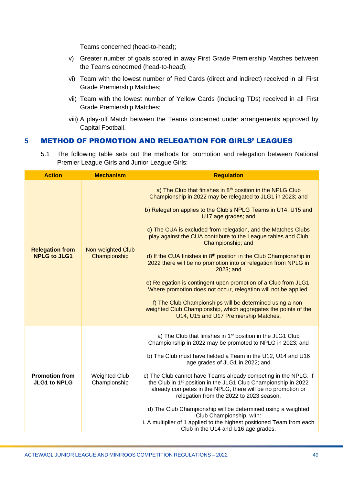Teams concerned (head-to-head);

- v) Greater number of goals scored in away First Grade Premiership Matches between the Teams concerned (head-to-head);
- vi) Team with the lowest number of Red Cards (direct and indirect) received in all First Grade Premiership Matches;
- vii) Team with the lowest number of Yellow Cards (including TDs) received in all First Grade Premiership Matches;
- viii) A play-off Match between the Teams concerned under arrangements approved by Capital Football.

#### <span id="page-48-0"></span>**5** METHOD OF PROMOTION AND RELEGATION FOR GIRLS' LEAGUES

5.1 The following table sets out the methods for promotion and relegation between National Premier League Girls and Junior League Girls:

| <b>Action</b>                                 | <b>Mechanism</b>                     | <b>Regulation</b>                                                                                                                                                                                                                                                                                                                                                                                                                                                                                                                                                                                                                                                                                                                                                                                                                            |
|-----------------------------------------------|--------------------------------------|----------------------------------------------------------------------------------------------------------------------------------------------------------------------------------------------------------------------------------------------------------------------------------------------------------------------------------------------------------------------------------------------------------------------------------------------------------------------------------------------------------------------------------------------------------------------------------------------------------------------------------------------------------------------------------------------------------------------------------------------------------------------------------------------------------------------------------------------|
| <b>Relegation from</b><br><b>NPLG to JLG1</b> | Non-weighted Club<br>Championship    | a) The Club that finishes in 8th position in the NPLG Club<br>Championship in 2022 may be relegated to JLG1 in 2023; and<br>b) Relegation applies to the Club's NPLG Teams in U14, U15 and<br>U17 age grades; and<br>c) The CUA is excluded from relegation, and the Matches Clubs<br>play against the CUA contribute to the League tables and Club<br>Championship; and<br>d) If the CUA finishes in 8th position in the Club Championship in<br>2022 there will be no promotion into or relegation from NPLG in<br>2023; and<br>e) Relegation is contingent upon promotion of a Club from JLG1.<br>Where promotion does not occur, relegation will not be applied.<br>f) The Club Championships will be determined using a non-<br>weighted Club Championship, which aggregates the points of the<br>U14, U15 and U17 Premiership Matches. |
| <b>Promotion from</b><br><b>JLG1 to NPLG</b>  | <b>Weighted Club</b><br>Championship | a) The Club that finishes in 1 <sup>st</sup> position in the JLG1 Club<br>Championship in 2022 may be promoted to NPLG in 2023; and<br>b) The Club must have fielded a Team in the U12, U14 and U16<br>age grades of JLG1 in 2022; and<br>c) The Club cannot have Teams already competing in the NPLG. If<br>the Club in 1 <sup>st</sup> position in the JLG1 Club Championship in 2022<br>already competes in the NPLG, there will be no promotion or<br>relegation from the 2022 to 2023 season.<br>d) The Club Championship will be determined using a weighted<br>Club Championship, with:<br>i. A multiplier of 1 applied to the highest positioned Team from each<br>Club in the U14 and U16 age grades.                                                                                                                               |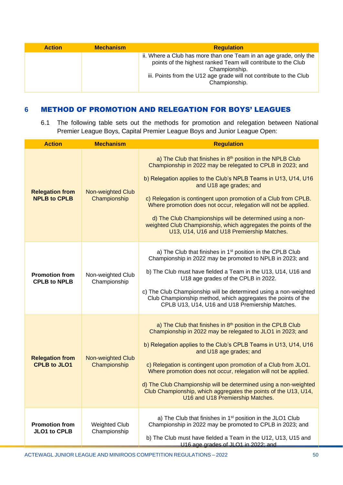| <b>Action</b> | <b>Mechanism</b> | <b>Regulation</b>                                                                                                                                                                                                                          |  |
|---------------|------------------|--------------------------------------------------------------------------------------------------------------------------------------------------------------------------------------------------------------------------------------------|--|
|               |                  | ii. Where a Club has more than one Team in an age grade, only the<br>points of the highest ranked Team will contribute to the Club<br>Championship.<br>iii. Points from the U12 age grade will not contribute to the Club<br>Championship. |  |

#### <span id="page-49-0"></span>**6** METHOD OF PROMOTION AND RELEGATION FOR BOYS' LEAGUES

6.1 The following table sets out the methods for promotion and relegation between National Premier League Boys, Capital Premier League Boys and Junior League Open:

| <b>Action</b><br><b>Mechanism</b>             |                                          | <b>Regulation</b>                                                                                                                                                                                                                                                                                                                                                                                                                                                                                                                         |  |  |
|-----------------------------------------------|------------------------------------------|-------------------------------------------------------------------------------------------------------------------------------------------------------------------------------------------------------------------------------------------------------------------------------------------------------------------------------------------------------------------------------------------------------------------------------------------------------------------------------------------------------------------------------------------|--|--|
| <b>Relegation from</b><br><b>NPLB to CPLB</b> | <b>Non-weighted Club</b><br>Championship | a) The Club that finishes in 8th position in the NPLB Club<br>Championship in 2022 may be relegated to CPLB in 2023; and<br>b) Relegation applies to the Club's NPLB Teams in U13, U14, U16<br>and U18 age grades; and<br>c) Relegation is contingent upon promotion of a Club from CPLB.<br>Where promotion does not occur, relegation will not be applied.<br>d) The Club Championships will be determined using a non-<br>weighted Club Championship, which aggregates the points of the<br>U13, U14, U16 and U18 Premiership Matches. |  |  |
| <b>Promotion from</b><br><b>CPLB to NPLB</b>  | Non-weighted Club<br>Championship        | a) The Club that finishes in 1 <sup>st</sup> position in the CPLB Club<br>Championship in 2022 may be promoted to NPLB in 2023; and<br>b) The Club must have fielded a Team in the U13, U14, U16 and<br>U18 age grades of the CPLB in 2022.<br>c) The Club Championship will be determined using a non-weighted<br>Club Championship method, which aggregates the points of the<br>CPLB U13, U14, U16 and U18 Premiership Matches.                                                                                                        |  |  |
| <b>Relegation from</b><br><b>CPLB to JLO1</b> | <b>Non-weighted Club</b><br>Championship | a) The Club that finishes in 8th position in the CPLB Club<br>Championship in 2022 may be relegated to JLO1 in 2023; and<br>b) Relegation applies to the Club's CPLB Teams in U13, U14, U16<br>and U18 age grades; and<br>c) Relegation is contingent upon promotion of a Club from JLO1.<br>Where promotion does not occur, relegation will not be applied.<br>d) The Club Championship will be determined using a non-weighted<br>Club Championship, which aggregates the points of the U13, U14,<br>U16 and U18 Premiership Matches.   |  |  |
| <b>Promotion from</b><br><b>JLO1 to CPLB</b>  | <b>Weighted Club</b><br>Championship     | a) The Club that finishes in 1 <sup>st</sup> position in the JLO1 Club<br>Championship in 2022 may be promoted to CPLB in 2023; and<br>b) The Club must have fielded a Team in the U12, U13, U15 and<br>U16 age grades of JLO1 in 2022; and                                                                                                                                                                                                                                                                                               |  |  |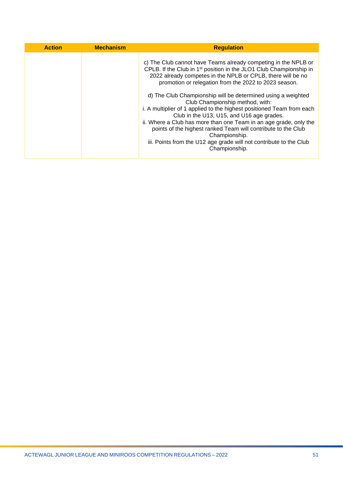| <b>Action</b> | <b>Mechanism</b> | <b>Regulation</b>                                                                                                                                                                                                                                                                                                                                                                                                                                                                                                                                                                                                                                                                                                                               |
|---------------|------------------|-------------------------------------------------------------------------------------------------------------------------------------------------------------------------------------------------------------------------------------------------------------------------------------------------------------------------------------------------------------------------------------------------------------------------------------------------------------------------------------------------------------------------------------------------------------------------------------------------------------------------------------------------------------------------------------------------------------------------------------------------|
|               |                  | c) The Club cannot have Teams already competing in the NPLB or<br>CPLB. If the Club in 1 <sup>st</sup> position in the JLO1 Club Championship in<br>2022 already competes in the NPLB or CPLB, there will be no<br>promotion or relegation from the 2022 to 2023 season.<br>d) The Club Championship will be determined using a weighted<br>Club Championship method, with:<br>i. A multiplier of 1 applied to the highest positioned Team from each<br>Club in the U13, U15, and U16 age grades.<br>ii. Where a Club has more than one Team in an age grade, only the<br>points of the highest ranked Team will contribute to the Club<br>Championship.<br>iii. Points from the U12 age grade will not contribute to the Club<br>Championship. |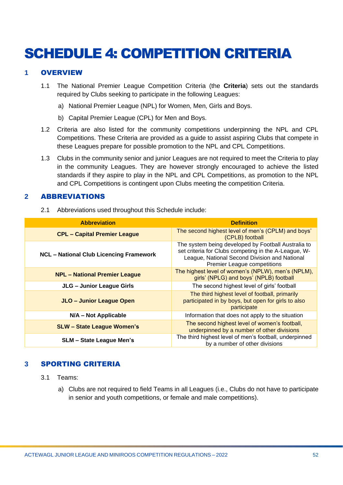# <span id="page-51-0"></span>SCHEDULE 4: COMPETITION CRITERIA

#### <span id="page-51-1"></span>**1** OVERVIEW

- 1.1 The National Premier League Competition Criteria (the **Criteria**) sets out the standards required by Clubs seeking to participate in the following Leagues:
	- a) National Premier League (NPL) for Women, Men, Girls and Boys.
	- b) Capital Premier League (CPL) for Men and Boys.
- 1.2 Criteria are also listed for the community competitions underpinning the NPL and CPL Competitions. These Criteria are provided as a guide to assist aspiring Clubs that compete in these Leagues prepare for possible promotion to the NPL and CPL Competitions.
- 1.3 Clubs in the community senior and junior Leagues are not required to meet the Criteria to play in the community Leagues. They are however strongly encouraged to achieve the listed standards if they aspire to play in the NPL and CPL Competitions, as promotion to the NPL and CPL Competitions is contingent upon Clubs meeting the competition Criteria.

#### <span id="page-51-2"></span>**2** ABBREVIATIONS

2.1 Abbreviations used throughout this Schedule include:

| <b>Abbreviation</b>                            | <b>Definition</b>                                                                                                                                                                                  |  |
|------------------------------------------------|----------------------------------------------------------------------------------------------------------------------------------------------------------------------------------------------------|--|
| <b>CPL - Capital Premier League</b>            | The second highest level of men's (CPLM) and boys'<br>(CPLB) football                                                                                                                              |  |
| <b>NCL - National Club Licencing Framework</b> | The system being developed by Football Australia to<br>set criteria for Clubs competing in the A-League, W-<br>League, National Second Division and National<br><b>Premier League competitions</b> |  |
| <b>NPL - National Premier League</b>           | The highest level of women's (NPLW), men's (NPLM),<br>girls' (NPLG) and boys' (NPLB) football                                                                                                      |  |
| JLG - Junior League Girls                      | The second highest level of girls' football                                                                                                                                                        |  |
| JLO - Junior League Open                       | The third highest level of football, primarily<br>participated in by boys, but open for girls to also<br>participate                                                                               |  |
| N/A - Not Applicable                           | Information that does not apply to the situation                                                                                                                                                   |  |
| <b>SLW - State League Women's</b>              | The second highest level of women's football,<br>underpinned by a number of other divisions                                                                                                        |  |
| <b>SLM - State League Men's</b>                | The third highest level of men's football, underpinned<br>by a number of other divisions                                                                                                           |  |

# <span id="page-51-3"></span>**3** SPORTING CRITERIA

- 3.1 Teams:
	- a) Clubs are not required to field Teams in all Leagues (i.e., Clubs do not have to participate in senior and youth competitions, or female and male competitions).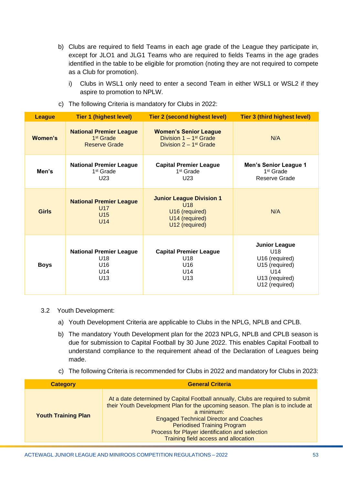- b) Clubs are required to field Teams in each age grade of the League they participate in, except for JLO1 and JLG1 Teams who are required to fields Teams in the age grades identified in the table to be eligible for promotion (noting they are not required to compete as a Club for promotion).
	- i) Clubs in WSL1 only need to enter a second Team in either WSL1 or WSL2 if they aspire to promotion to NPLW.

| <b>League</b> | <b>Tier 1 (highest level)</b>                                                   | Tier 2 (second highest level)                                                                                | <b>Tier 3 (third highest level)</b>                                                                        |
|---------------|---------------------------------------------------------------------------------|--------------------------------------------------------------------------------------------------------------|------------------------------------------------------------------------------------------------------------|
| Women's       | <b>National Premier League</b><br>1 <sup>st</sup> Grade<br><b>Reserve Grade</b> | <b>Women's Senior League</b><br>Division $1 - 1$ <sup>st</sup> Grade<br>Division $2 - 1$ <sup>st</sup> Grade | N/A                                                                                                        |
| Men's         | <b>National Premier League</b><br>1 <sup>st</sup> Grade<br>U <sub>23</sub>      | <b>Capital Premier League</b><br>1 <sup>st</sup> Grade<br>U23                                                | <b>Men's Senior League 1</b><br>1 <sup>st</sup> Grade<br>Reserve Grade                                     |
| <b>Girls</b>  | <b>National Premier League</b><br>U <sub>17</sub><br>U15<br>U <sub>14</sub>     | <b>Junior League Division 1</b><br>U <sub>18</sub><br>U16 (required)<br>U14 (required)<br>U12 (required)     | N/A                                                                                                        |
| <b>Boys</b>   | <b>National Premier League</b><br>U18<br>U16<br>U14<br>U13                      | <b>Capital Premier League</b><br>U18<br>U16<br>U14<br>U13                                                    | <b>Junior League</b><br>U18<br>U16 (required)<br>U15 (required)<br>U14<br>U13 (required)<br>U12 (required) |

c) The following Criteria is mandatory for Clubs in 2022:

#### 3.2 Youth Development:

- a) Youth Development Criteria are applicable to Clubs in the NPLG, NPLB and CPLB.
- b) The mandatory Youth Development plan for the 2023 NPLG, NPLB and CPLB season is due for submission to Capital Football by 30 June 2022. This enables Capital Football to understand compliance to the requirement ahead of the Declaration of Leagues being made.
- c) The following Criteria is recommended for Clubs in 2022 and mandatory for Clubs in 2023:

| <b>Category</b>            | <b>General Criteria</b>                                                                                                                                                                                                                                                                                                                                            |
|----------------------------|--------------------------------------------------------------------------------------------------------------------------------------------------------------------------------------------------------------------------------------------------------------------------------------------------------------------------------------------------------------------|
| <b>Youth Training Plan</b> | At a date determined by Capital Football annually, Clubs are required to submit<br>their Youth Development Plan for the upcoming season. The plan is to include at<br>a minimum:<br><b>Engaged Technical Director and Coaches</b><br><b>Periodised Training Program</b><br>Process for Player identification and selection<br>Training field access and allocation |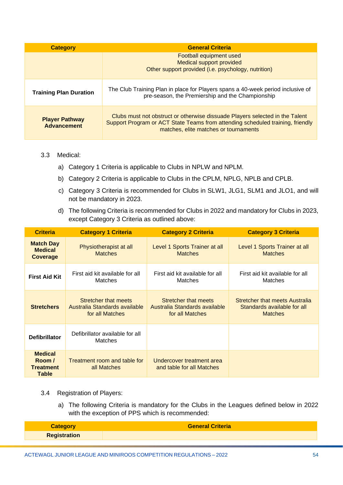| <b>Category</b>                             | <b>General Criteria</b>                                                                                                                                                                                 |  |
|---------------------------------------------|---------------------------------------------------------------------------------------------------------------------------------------------------------------------------------------------------------|--|
|                                             | Football equipment used<br>Medical support provided<br>Other support provided (i.e. psychology, nutrition)                                                                                              |  |
| <b>Training Plan Duration</b>               | The Club Training Plan in place for Players spans a 40-week period inclusive of<br>pre-season, the Premiership and the Championship                                                                     |  |
| <b>Player Pathway</b><br><b>Advancement</b> | Clubs must not obstruct or otherwise dissuade Players selected in the Talent<br>Support Program or ACT State Teams from attending scheduled training, friendly<br>matches, elite matches or tournaments |  |

### 3.3 Medical:

- a) Category 1 Criteria is applicable to Clubs in NPLW and NPLM.
- b) Category 2 Criteria is applicable to Clubs in the CPLM, NPLG, NPLB and CPLB.
- c) Category 3 Criteria is recommended for Clubs in SLW1, JLG1, SLM1 and JLO1, and will not be mandatory in 2023.
- d) The following Criteria is recommended for Clubs in 2022 and mandatory for Clubs in 2023, except Category 3 Criteria as outlined above:

| <b>Criteria</b>                                              | <b>Category 1 Criteria</b>                                               | <b>Category 2 Criteria</b>                                               | <b>Category 3 Criteria</b>                                                      |
|--------------------------------------------------------------|--------------------------------------------------------------------------|--------------------------------------------------------------------------|---------------------------------------------------------------------------------|
| <b>Match Day</b><br><b>Medical</b><br><b>Coverage</b>        | Physiotherapist at all<br><b>Matches</b>                                 | Level 1 Sports Trainer at all<br><b>Matches</b>                          | Level 1 Sports Trainer at all<br><b>Matches</b>                                 |
| <b>First Aid Kit</b>                                         | First aid kit available for all<br><b>Matches</b>                        | First aid kit available for all<br><b>Matches</b>                        | First aid kit available for all<br>Matches                                      |
| <b>Stretchers</b>                                            | Stretcher that meets<br>Australia Standards available<br>for all Matches | Stretcher that meets<br>Australia Standards available<br>for all Matches | Stretcher that meets Australia<br>Standards available for all<br><b>Matches</b> |
| <b>Defibrillator</b>                                         | Defibrillator available for all<br>Matches                               |                                                                          |                                                                                 |
| <b>Medical</b><br>Room /<br><b>Treatment</b><br><b>Table</b> | Treatment room and table for<br>all Matches                              | Undercover treatment area<br>and table for all Matches                   |                                                                                 |

- 3.4 Registration of Players:
	- a) The following Criteria is mandatory for the Clubs in the Leagues defined below in 2022 with the exception of PPS which is recommended:

| <b>Category</b>     | <b>General Criteria</b> |
|---------------------|-------------------------|
| <b>Registration</b> |                         |
|                     |                         |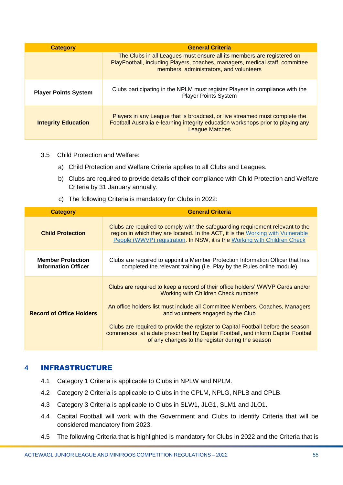| <b>Category</b>             | <b>General Criteria</b>                                                                                                                                                                           |  |
|-----------------------------|---------------------------------------------------------------------------------------------------------------------------------------------------------------------------------------------------|--|
|                             | The Clubs in all Leagues must ensure all its members are registered on<br>PlayFootball, including Players, coaches, managers, medical staff, committee<br>members, administrators, and volunteers |  |
| <b>Player Points System</b> | Clubs participating in the NPLM must register Players in compliance with the<br><b>Player Points System</b>                                                                                       |  |
| <b>Integrity Education</b>  | Players in any League that is broadcast, or live streamed must complete the<br>Football Australia e-learning integrity education workshops prior to playing any<br><b>League Matches</b>          |  |

- 3.5 Child Protection and Welfare:
	- a) Child Protection and Welfare Criteria applies to all Clubs and Leagues.
	- b) Clubs are required to provide details of their compliance with Child Protection and Welfare Criteria by 31 January annually.
	- c) The following Criteria is mandatory for Clubs in 2022:

| <b>Category</b>                                        | <b>General Criteria</b>                                                                                                                                                                                                                                                                                                                                                                                                                                                        |  |
|--------------------------------------------------------|--------------------------------------------------------------------------------------------------------------------------------------------------------------------------------------------------------------------------------------------------------------------------------------------------------------------------------------------------------------------------------------------------------------------------------------------------------------------------------|--|
| <b>Child Protection</b>                                | Clubs are required to comply with the safeguarding requirement relevant to the<br>region in which they are located. In the ACT, it is the Working with Vulnerable<br>People (WWVP) registration. In NSW, it is the Working with Children Check                                                                                                                                                                                                                                 |  |
| <b>Member Protection</b><br><b>Information Officer</b> | Clubs are required to appoint a Member Protection Information Officer that has<br>completed the relevant training (i.e. Play by the Rules online module)                                                                                                                                                                                                                                                                                                                       |  |
| <b>Record of Office Holders</b>                        | Clubs are required to keep a record of their office holders' WWVP Cards and/or<br><b>Working with Children Check numbers</b><br>An office holders list must include all Committee Members, Coaches, Managers<br>and volunteers engaged by the Club<br>Clubs are required to provide the register to Capital Football before the season<br>commences, at a date prescribed by Capital Football, and inform Capital Football<br>of any changes to the register during the season |  |

# <span id="page-54-0"></span>**4** INFRASTRUCTURE

- 4.1 Category 1 Criteria is applicable to Clubs in NPLW and NPLM.
- 4.2 Category 2 Criteria is applicable to Clubs in the CPLM, NPLG, NPLB and CPLB.
- 4.3 Category 3 Criteria is applicable to Clubs in SLW1, JLG1, SLM1 and JLO1.
- 4.4 Capital Football will work with the Government and Clubs to identify Criteria that will be considered mandatory from 2023.
- 4.5 The following Criteria that is highlighted is mandatory for Clubs in 2022 and the Criteria that is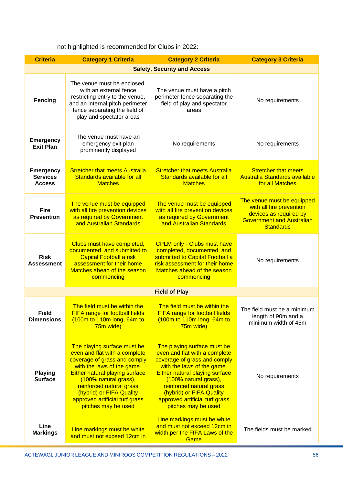not highlighted is recommended for Clubs in 2022:

| <b>Criteria</b>                                      | <b>Category 1 Criteria</b>                                                                                                                                                                                                                                                                                    | <b>Category 2 Criteria</b>                                                                                                                                                                                                                                                                                    | <b>Category 3 Criteria</b>                                                                                                               |  |  |
|------------------------------------------------------|---------------------------------------------------------------------------------------------------------------------------------------------------------------------------------------------------------------------------------------------------------------------------------------------------------------|---------------------------------------------------------------------------------------------------------------------------------------------------------------------------------------------------------------------------------------------------------------------------------------------------------------|------------------------------------------------------------------------------------------------------------------------------------------|--|--|
| <b>Safety, Security and Access</b>                   |                                                                                                                                                                                                                                                                                                               |                                                                                                                                                                                                                                                                                                               |                                                                                                                                          |  |  |
| <b>Fencing</b>                                       | The venue must be enclosed,<br>with an external fence<br>restricting entry to the venue,<br>and an internal pitch perimeter<br>fence separating the field of<br>play and spectator areas                                                                                                                      | The venue must have a pitch<br>perimeter fence separating the<br>field of play and spectator<br>areas                                                                                                                                                                                                         | No requirements                                                                                                                          |  |  |
| <b>Emergency</b><br><b>Exit Plan</b>                 | The venue must have an<br>emergency exit plan<br>prominently displayed                                                                                                                                                                                                                                        | No requirements                                                                                                                                                                                                                                                                                               | No requirements                                                                                                                          |  |  |
| <b>Emergency</b><br><b>Services</b><br><b>Access</b> | <b>Stretcher that meets Australia</b><br>Standards available for all<br><b>Matches</b>                                                                                                                                                                                                                        | <b>Stretcher that meets Australia</b><br>Standards available for all<br><b>Matches</b>                                                                                                                                                                                                                        | <b>Stretcher that meets</b><br><b>Australia Standards available</b><br>for all Matches                                                   |  |  |
| <b>Fire</b><br><b>Prevention</b>                     | The venue must be equipped<br>with all fire prevention devices<br>as required by Government<br>and Australian Standards                                                                                                                                                                                       | The venue must be equipped<br>with all fire prevention devices<br>as required by Government<br>and Australian Standards                                                                                                                                                                                       | The venue must be equipped<br>with all fire prevention<br>devices as required by<br><b>Government and Australian</b><br><b>Standards</b> |  |  |
| <b>Risk</b><br><b>Assessment</b>                     | Clubs must have completed,<br>documented, and submitted to<br><b>Capital Football a risk</b><br>assessment for their home<br>Matches ahead of the season<br>commencing                                                                                                                                        | <b>CPLM only - Clubs must have</b><br>completed, documented, and<br>submitted to Capital Football a<br>risk assessment for their home<br>Matches ahead of the season<br>commencing                                                                                                                            | No requirements                                                                                                                          |  |  |
|                                                      | <b>Field of Play</b>                                                                                                                                                                                                                                                                                          |                                                                                                                                                                                                                                                                                                               |                                                                                                                                          |  |  |
| <b>Field</b><br><b>Dimensions</b>                    | The field must be within the<br>FIFA range for football fields<br>$(100m)$ to 110m long, 64m to<br>75m wide)                                                                                                                                                                                                  | The field must be within the<br><b>FIFA range for football fields</b><br>(100m to 110m long, 64m to<br>75m wide)                                                                                                                                                                                              | The field must be a minimum<br>length of 90m and a<br>minimum width of 45m                                                               |  |  |
| <b>Playing</b><br><b>Surface</b>                     | The playing surface must be<br>even and flat with a complete<br>coverage of grass and comply<br>with the laws of the game.<br><b>Either natural playing surface</b><br>(100% natural grass),<br>reinforced natural grass<br>(hybrid) or FIFA Quality<br>approved artificial turf grass<br>pitches may be used | The playing surface must be<br>even and flat with a complete<br>coverage of grass and comply<br>with the laws of the game.<br><b>Either natural playing surface</b><br>(100% natural grass),<br>reinforced natural grass<br>(hybrid) or FIFA Quality<br>approved artificial turf grass<br>pitches may be used | No requirements                                                                                                                          |  |  |
| Line<br><b>Markings</b>                              | Line markings must be white<br>and must not exceed 12cm in                                                                                                                                                                                                                                                    | Line markings must be white<br>and must not exceed 12cm in<br>width per the FIFA Laws of the<br>Game                                                                                                                                                                                                          | The fields must be marked                                                                                                                |  |  |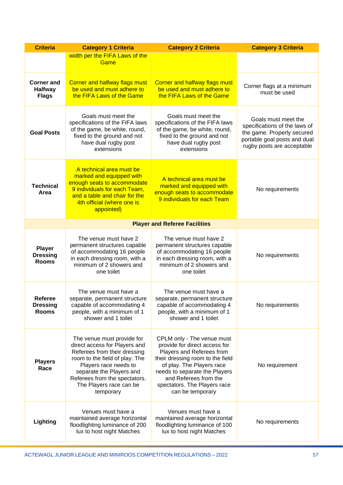| <b>Criteria</b>                                     | <b>Category 1 Criteria</b>                                                                                                                                                                                                                                  | <b>Category 2 Criteria</b>                                                                                                                                                                                                                                              | <b>Category 3 Criteria</b>                                                                                                                       |
|-----------------------------------------------------|-------------------------------------------------------------------------------------------------------------------------------------------------------------------------------------------------------------------------------------------------------------|-------------------------------------------------------------------------------------------------------------------------------------------------------------------------------------------------------------------------------------------------------------------------|--------------------------------------------------------------------------------------------------------------------------------------------------|
|                                                     | width per the FIFA Laws of the<br>Game                                                                                                                                                                                                                      |                                                                                                                                                                                                                                                                         |                                                                                                                                                  |
| <b>Corner and</b><br><b>Halfway</b><br><b>Flags</b> | <b>Corner and halfway flags must</b><br>be used and must adhere to<br>the FIFA Laws of the Game                                                                                                                                                             | <b>Corner and halfway flags must</b><br>be used and must adhere to<br>the FIFA Laws of the Game                                                                                                                                                                         | Corner flags at a minimum<br>must be used                                                                                                        |
| <b>Goal Posts</b>                                   | Goals must meet the<br>specifications of the FIFA laws<br>of the game, be white, round,<br>fixed to the ground and not<br>have dual rugby post<br>extensions                                                                                                | Goals must meet the<br>specifications of the FIFA laws<br>of the game, be white, round,<br>fixed to the ground and not<br>have dual rugby post<br>extensions                                                                                                            | Goals must meet the<br>specifications of the laws of<br>the game. Properly secured<br>portable goal posts and dual<br>rugby posts are acceptable |
| <b>Technical</b><br>Area                            | A technical area must be<br>marked and equipped with<br>enough seats to accommodate<br>9 individuals for each Team,<br>and a table and chair for the<br>4th official (where one is<br>appointed)                                                            | A technical area must be<br>marked and equipped with<br>enough seats to accommodate<br>9 individuals for each Team                                                                                                                                                      | No requirements                                                                                                                                  |
|                                                     |                                                                                                                                                                                                                                                             | <b>Player and Referee Facilities</b>                                                                                                                                                                                                                                    |                                                                                                                                                  |
| <b>Player</b><br><b>Dressing</b><br><b>Rooms</b>    | The venue must have 2<br>permanent structures capable<br>of accommodating 16 people<br>in each dressing room, with a<br>minimum of 2 showers and<br>one toilet                                                                                              | The venue must have 2<br>permanent structures capable<br>of accommodating 16 people<br>in each dressing room, with a<br>minimum of 2 showers and<br>one toilet                                                                                                          | No requirements                                                                                                                                  |
| <b>Referee</b><br><b>Dressing</b><br><b>Rooms</b>   | The venue must have a<br>separate, permanent structure<br>capable of accommodating 4<br>people, with a minimum of 1<br>shower and 1 toilet                                                                                                                  | The venue must have a<br>separate, permanent structure<br>capable of accommodating 4<br>people, with a minimum of 1<br>shower and 1 toilet                                                                                                                              | No requirements                                                                                                                                  |
| <b>Players</b><br>Race                              | The venue must provide for<br>direct access for Players and<br>Referees from their dressing<br>room to the field of play. The<br>Players race needs to<br>separate the Players and<br>Referees from the spectators.<br>The Players race can be<br>temporary | CPLM only - The venue must<br>provide for direct access for<br>Players and Referees from<br>their dressing room to the field<br>of play. The Players race<br>needs to separate the Players<br>and Referees from the<br>spectators. The Players race<br>can be temporary | No requirement                                                                                                                                   |
| Lighting                                            | Venues must have a<br>maintained average horizontal<br>floodlighting luminance of 200<br>lux to host night Matches                                                                                                                                          | Venues must have a<br>maintained average horizontal<br>floodlighting luminance of 100<br>lux to host night Matches                                                                                                                                                      | No requirements                                                                                                                                  |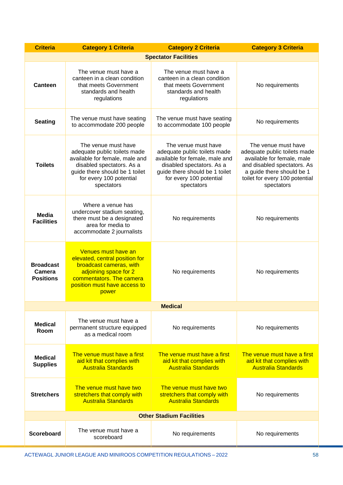| <b>Criteria</b>                                | <b>Category 1 Criteria</b>                                                                                                                                                                    | <b>Category 2 Criteria</b>                                                                                                                                                                    | <b>Category 3 Criteria</b>                                                                                                                                                                    |
|------------------------------------------------|-----------------------------------------------------------------------------------------------------------------------------------------------------------------------------------------------|-----------------------------------------------------------------------------------------------------------------------------------------------------------------------------------------------|-----------------------------------------------------------------------------------------------------------------------------------------------------------------------------------------------|
|                                                |                                                                                                                                                                                               | <b>Spectator Facilities</b>                                                                                                                                                                   |                                                                                                                                                                                               |
| Canteen                                        | The venue must have a<br>canteen in a clean condition<br>that meets Government<br>standards and health<br>regulations                                                                         | The venue must have a<br>canteen in a clean condition<br>that meets Government<br>standards and health<br>regulations                                                                         | No requirements                                                                                                                                                                               |
| <b>Seating</b>                                 | The venue must have seating<br>to accommodate 200 people                                                                                                                                      | The venue must have seating<br>to accommodate 100 people                                                                                                                                      | No requirements                                                                                                                                                                               |
| <b>Toilets</b>                                 | The venue must have<br>adequate public toilets made<br>available for female, male and<br>disabled spectators. As a<br>guide there should be 1 toilet<br>for every 100 potential<br>spectators | The venue must have<br>adequate public toilets made<br>available for female, male and<br>disabled spectators. As a<br>guide there should be 1 toilet<br>for every 100 potential<br>spectators | The venue must have<br>adequate public toilets made<br>available for female, male<br>and disabled spectators. As<br>a guide there should be 1<br>toilet for every 100 potential<br>spectators |
| <b>Media</b><br><b>Facilities</b>              | Where a venue has<br>undercover stadium seating,<br>there must be a designated<br>area for media to<br>accommodate 2 journalists                                                              | No requirements                                                                                                                                                                               | No requirements                                                                                                                                                                               |
| <b>Broadcast</b><br>Camera<br><b>Positions</b> | Venues must have an<br>elevated, central position for<br>broadcast cameras, with<br>adjoining space for 2<br>commentators. The camera<br>position must have access to<br>power                | No requirements                                                                                                                                                                               | No requirements                                                                                                                                                                               |
|                                                |                                                                                                                                                                                               | <b>Medical</b>                                                                                                                                                                                |                                                                                                                                                                                               |
| <b>Medical</b><br>Room                         | The venue must have a<br>permanent structure equipped<br>as a medical room                                                                                                                    | No requirements                                                                                                                                                                               | No requirements                                                                                                                                                                               |
| <b>Medical</b><br><b>Supplies</b>              | The venue must have a first<br>aid kit that complies with<br><b>Australia Standards</b>                                                                                                       | The venue must have a first<br>aid kit that complies with<br><b>Australia Standards</b>                                                                                                       | The venue must have a first<br>aid kit that complies with<br><b>Australia Standards</b>                                                                                                       |
| <b>Stretchers</b>                              | The venue must have two<br>stretchers that comply with<br><b>Australia Standards</b>                                                                                                          | The venue must have two<br>stretchers that comply with<br><b>Australia Standards</b>                                                                                                          | No requirements                                                                                                                                                                               |
| <b>Other Stadium Facilities</b>                |                                                                                                                                                                                               |                                                                                                                                                                                               |                                                                                                                                                                                               |
| <b>Scoreboard</b>                              | The venue must have a<br>scoreboard                                                                                                                                                           | No requirements                                                                                                                                                                               | No requirements                                                                                                                                                                               |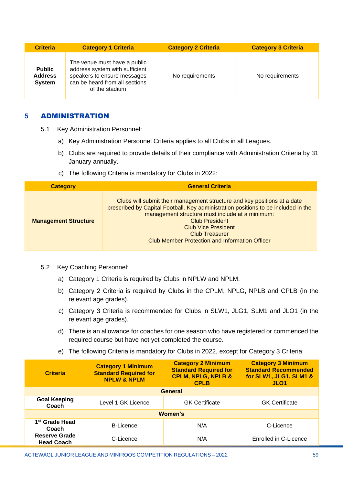| <b>Criteria</b>                                  | <b>Category 1 Criteria</b>                                                                                                                        | <b>Category 2 Criteria</b> | <b>Category 3 Criteria</b> |
|--------------------------------------------------|---------------------------------------------------------------------------------------------------------------------------------------------------|----------------------------|----------------------------|
| <b>Public</b><br><b>Address</b><br><b>System</b> | The venue must have a public<br>address system with sufficient<br>speakers to ensure messages<br>can be heard from all sections<br>of the stadium | No requirements            | No requirements            |

# <span id="page-58-0"></span>**5** ADMINISTRATION

- 5.1 Key Administration Personnel:
	- a) Key Administration Personnel Criteria applies to all Clubs in all Leagues.
	- b) Clubs are required to provide details of their compliance with Administration Criteria by 31 January annually.
	- c) The following Criteria is mandatory for Clubs in 2022:

| <b>Category</b>             | <b>General Criteria</b>                                                                                                                                                                                                                                                                                                                                    |
|-----------------------------|------------------------------------------------------------------------------------------------------------------------------------------------------------------------------------------------------------------------------------------------------------------------------------------------------------------------------------------------------------|
| <b>Management Structure</b> | Clubs will submit their management structure and key positions at a date<br>prescribed by Capital Football. Key administration positions to be included in the<br>management structure must include at a minimum:<br><b>Club President</b><br><b>Club Vice President</b><br><b>Club Treasurer</b><br><b>Club Member Protection and Information Officer</b> |

- 5.2 Key Coaching Personnel:
	- a) Category 1 Criteria is required by Clubs in NPLW and NPLM.
	- b) Category 2 Criteria is required by Clubs in the CPLM, NPLG, NPLB and CPLB (in the relevant age grades).
	- c) Category 3 Criteria is recommended for Clubs in SLW1, JLG1, SLM1 and JLO1 (in the relevant age grades).
	- d) There is an allowance for coaches for one season who have registered or commenced the required course but have not yet completed the course.
	- e) The following Criteria is mandatory for Clubs in 2022, except for Category 3 Criteria:

| <b>Criteria</b>                           | <b>Category 1 Minimum</b><br><b>Standard Required for</b><br><b>NPLW &amp; NPLM</b> | <b>Category 2 Minimum</b><br><b>Standard Required for</b><br><b>CPLM, NPLG, NPLB &amp;</b><br><b>CPLB</b> | <b>Category 3 Minimum</b><br><b>Standard Recommended</b><br>for SLW1, JLG1, SLM1 &<br>JLO <sub>1</sub> |
|-------------------------------------------|-------------------------------------------------------------------------------------|-----------------------------------------------------------------------------------------------------------|--------------------------------------------------------------------------------------------------------|
| <b>General</b>                            |                                                                                     |                                                                                                           |                                                                                                        |
| <b>Goal Keeping</b><br>Coach              | Level 1 GK Licence                                                                  | <b>GK</b> Certificate                                                                                     | <b>GK Certificate</b>                                                                                  |
| Women's                                   |                                                                                     |                                                                                                           |                                                                                                        |
| 1 <sup>st</sup> Grade Head<br>Coach       | <b>B-Licence</b>                                                                    | N/A                                                                                                       | C-Licence                                                                                              |
| <b>Reserve Grade</b><br><b>Head Coach</b> | C-Licence                                                                           | N/A                                                                                                       | Enrolled in C-Licence                                                                                  |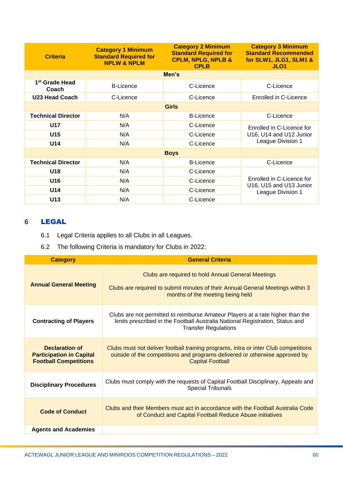| <b>Criteria</b>                     | <b>Category 1 Minimum</b><br><b>Standard Required for</b><br><b>NPLW &amp; NPLM</b> | <b>Category 2 Minimum</b><br><b>Standard Required for</b><br><b>CPLM, NPLG, NPLB &amp;</b><br><b>CPLB</b> | <b>Category 3 Minimum</b><br><b>Standard Recommended</b><br>for SLW1, JLG1, SLM1 &<br>JLO <sub>1</sub> |
|-------------------------------------|-------------------------------------------------------------------------------------|-----------------------------------------------------------------------------------------------------------|--------------------------------------------------------------------------------------------------------|
|                                     |                                                                                     | Men's                                                                                                     |                                                                                                        |
| 1 <sup>st</sup> Grade Head<br>Coach | <b>B-Licence</b>                                                                    | C-Licence                                                                                                 | C-Licence                                                                                              |
| <b>U23 Head Coach</b>               | C-Licence                                                                           | C-Licence                                                                                                 | Enrolled in C-Licence                                                                                  |
| <b>Girls</b>                        |                                                                                     |                                                                                                           |                                                                                                        |
| <b>Technical Director</b>           | N/A                                                                                 | <b>B-Licence</b>                                                                                          | C-Licence                                                                                              |
| <b>U17</b>                          | N/A                                                                                 | C-Licence                                                                                                 | Enrolled in C-Licence for<br>U16, U14 and U12 Junior<br>League Division 1                              |
| U <sub>15</sub>                     | N/A                                                                                 | C-Licence                                                                                                 |                                                                                                        |
| U14                                 | N/A                                                                                 | C-Licence                                                                                                 |                                                                                                        |
| <b>Boys</b>                         |                                                                                     |                                                                                                           |                                                                                                        |
| <b>Technical Director</b>           | N/A                                                                                 | <b>B-Licence</b>                                                                                          | C-Licence                                                                                              |
| U18                                 | N/A                                                                                 | C-Licence                                                                                                 |                                                                                                        |
| U16                                 | N/A                                                                                 | C-Licence                                                                                                 | Enrolled in C-Licence for<br>U16, U15 and U13 Junior<br>League Division 1                              |
| U14                                 | N/A                                                                                 | C-Licence                                                                                                 |                                                                                                        |
| U13                                 | N/A                                                                                 | C-Licence                                                                                                 |                                                                                                        |

# <span id="page-59-0"></span>**6** LEGAL

- 6.1 Legal Criteria applies to all Clubs in all Leagues.
- 6.2 The following Criteria is mandatory for Clubs in 2022:

| <b>Category</b>                                                                          | <b>General Criteria</b>                                                                                                                                                                        |
|------------------------------------------------------------------------------------------|------------------------------------------------------------------------------------------------------------------------------------------------------------------------------------------------|
| <b>Annual General Meeting</b>                                                            | Clubs are required to hold Annual General Meetings<br>Clubs are required to submit minutes of their Annual General Meetings within 3<br>months of the meeting being held                       |
| <b>Contracting of Players</b>                                                            | Clubs are not permitted to reimburse Amateur Players at a rate higher than the<br>limits prescribed in the Football Australia National Registration, Status and<br><b>Transfer Regulations</b> |
| <b>Declaration of</b><br><b>Participation in Capital</b><br><b>Football Competitions</b> | Clubs must not deliver football training programs, intra or inter Club competitions<br>outside of the competitions and programs delivered or otherwise approved by<br><b>Capital Football</b>  |
| <b>Disciplinary Procedures</b>                                                           | Clubs must comply with the requests of Capital Football Disciplinary, Appeals and<br><b>Special Tribunals</b>                                                                                  |
| <b>Code of Conduct</b>                                                                   | Clubs and their Members must act in accordance with the Football Australia Code<br>of Conduct and Capital Football Reduce Abuse initiatives                                                    |
| <b>Agents and Academies</b>                                                              |                                                                                                                                                                                                |